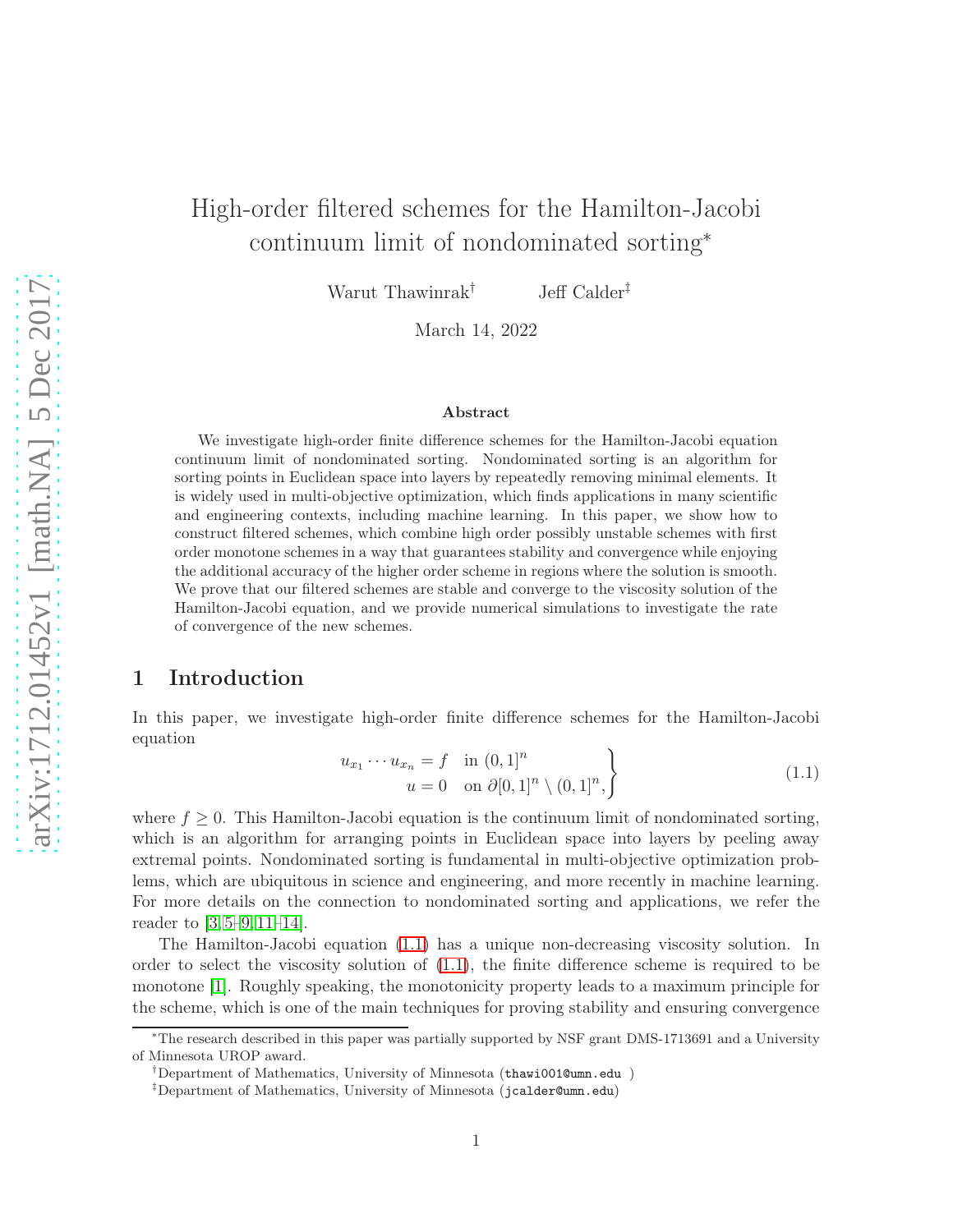# High-order filtered schemes for the Hamilton-Jacobi continuum limit of nondominated sorting<sup>∗</sup>

Warut Thawinrak<sup>†</sup> Jeff Calder<sup>‡</sup>

March 14, 2022

#### Abstract

We investigate high-order finite difference schemes for the Hamilton-Jacobi equation continuum limit of nondominated sorting. Nondominated sorting is an algorithm for sorting points in Euclidean space into layers by repeatedly removing minimal elements. It is widely used in multi-objective optimization, which finds applications in many scientific and engineering contexts, including machine learning. In this paper, we show how to construct filtered schemes, which combine high order possibly unstable schemes with first order monotone schemes in a way that guarantees stability and convergence while enjoying the additional accuracy of the higher order scheme in regions where the solution is smooth. We prove that our filtered schemes are stable and converge to the viscosity solution of the Hamilton-Jacobi equation, and we provide numerical simulations to investigate the rate of convergence of the new schemes.

## 1 Introduction

In this paper, we investigate high-order finite difference schemes for the Hamilton-Jacobi equation

$$
\begin{aligned}\n u_{x_1} \cdots u_{x_n} &= f \quad \text{in } (0,1]^n \\
u &= 0 \quad \text{on } \partial [0,1]^n \setminus (0,1]^n, \n \end{aligned}\n \tag{1.1}
$$

where  $f \geq 0$ . This Hamilton-Jacobi equation is the continuum limit of nondominated sorting, which is an algorithm for arranging points in Euclidean space into layers by peeling away extremal points. Nondominated sorting is fundamental in multi-objective optimization problems, which are ubiquitous in science and engineering, and more recently in machine learning. For more details on the connection to nondominated sorting and applications, we refer the reader to [\[3,](#page-23-0) [5–](#page-23-1)[9,](#page-23-2) [11–](#page-23-3)[14\]](#page-23-4).

The Hamilton-Jacobi equation [\(1.1\)](#page-0-0) has a unique non-decreasing viscosity solution. In order to select the viscosity solution of [\(1.1\)](#page-0-0), the finite difference scheme is required to be monotone [\[1\]](#page-23-5). Roughly speaking, the monotonicity property leads to a maximum principle for the scheme, which is one of the main techniques for proving stability and ensuring convergence

<span id="page-0-0"></span> $\iota$ 

<sup>∗</sup>The research described in this paper was partially supported by NSF grant DMS-1713691 and a University of Minnesota UROP award.

<sup>†</sup>Department of Mathematics, University of Minnesota (thawi001@umn.edu )

<sup>‡</sup>Department of Mathematics, University of Minnesota (jcalder@umn.edu)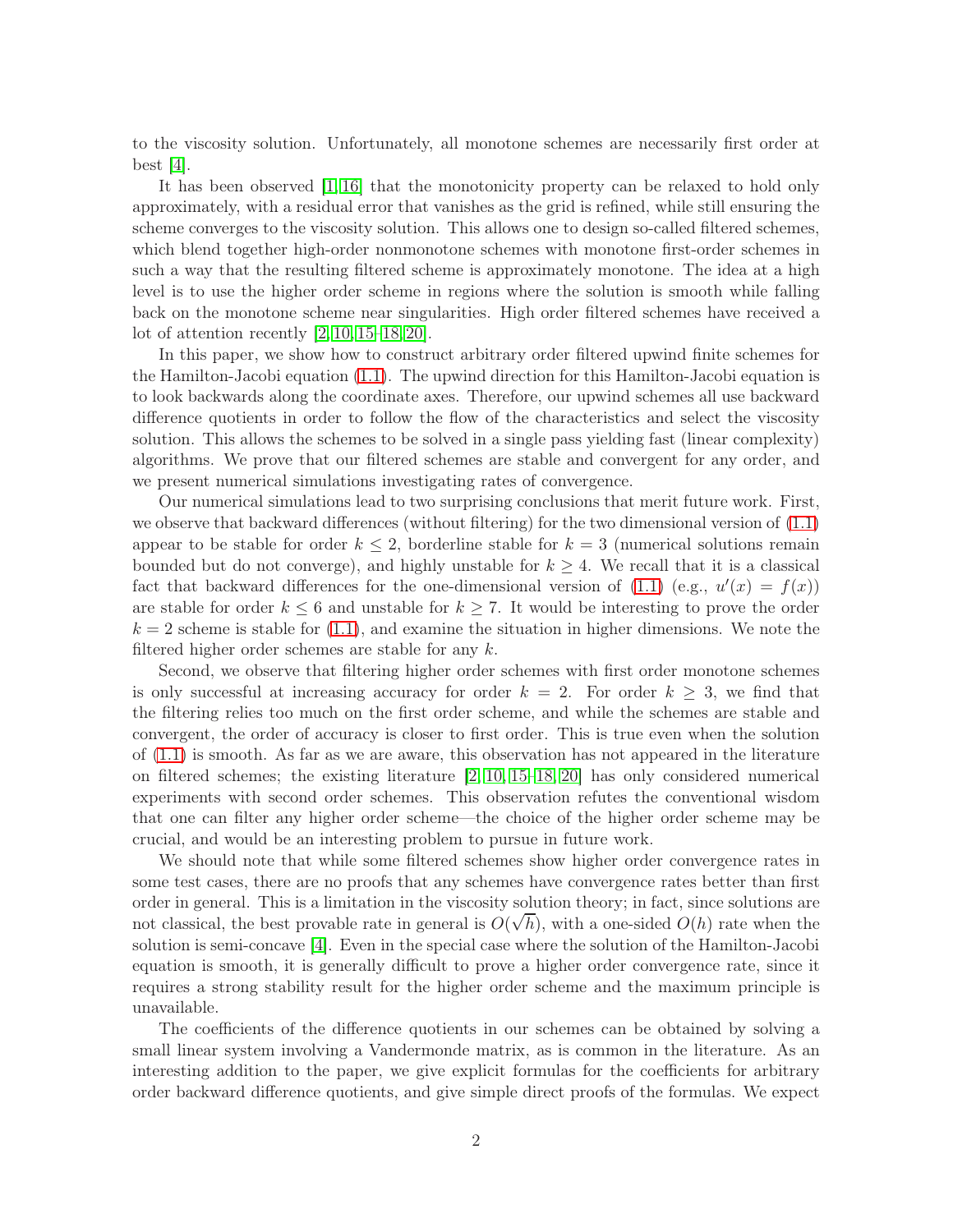to the viscosity solution. Unfortunately, all monotone schemes are necessarily first order at best  $|4|$ .

It has been observed [\[1,](#page-23-5) [16\]](#page-24-0) that the monotonicity property can be relaxed to hold only approximately, with a residual error that vanishes as the grid is refined, while still ensuring the scheme converges to the viscosity solution. This allows one to design so-called filtered schemes, which blend together high-order nonmonotone schemes with monotone first-order schemes in such a way that the resulting filtered scheme is approximately monotone. The idea at a high level is to use the higher order scheme in regions where the solution is smooth while falling back on the monotone scheme near singularities. High order filtered schemes have received a lot of attention recently  $[2, 10, 15-18, 20]$  $[2, 10, 15-18, 20]$  $[2, 10, 15-18, 20]$  $[2, 10, 15-18, 20]$  $[2, 10, 15-18, 20]$ .

In this paper, we show how to construct arbitrary order filtered upwind finite schemes for the Hamilton-Jacobi equation [\(1.1\)](#page-0-0). The upwind direction for this Hamilton-Jacobi equation is to look backwards along the coordinate axes. Therefore, our upwind schemes all use backward difference quotients in order to follow the flow of the characteristics and select the viscosity solution. This allows the schemes to be solved in a single pass yielding fast (linear complexity) algorithms. We prove that our filtered schemes are stable and convergent for any order, and we present numerical simulations investigating rates of convergence.

Our numerical simulations lead to two surprising conclusions that merit future work. First, we observe that backward differences (without filtering) for the two dimensional version of [\(1.1\)](#page-0-0) appear to be stable for order  $k \leq 2$ , borderline stable for  $k = 3$  (numerical solutions remain bounded but do not converge), and highly unstable for  $k \geq 4$ . We recall that it is a classical fact that backward differences for the one-dimensional version of [\(1.1\)](#page-0-0) (e.g.,  $u'(x) = f(x)$ ) are stable for order  $k \leq 6$  and unstable for  $k \geq 7$ . It would be interesting to prove the order  $k = 2$  scheme is stable for [\(1.1\)](#page-0-0), and examine the situation in higher dimensions. We note the filtered higher order schemes are stable for any  $k$ .

Second, we observe that filtering higher order schemes with first order monotone schemes is only successful at increasing accuracy for order  $k = 2$ . For order  $k \geq 3$ , we find that the filtering relies too much on the first order scheme, and while the schemes are stable and convergent, the order of accuracy is closer to first order. This is true even when the solution of [\(1.1\)](#page-0-0) is smooth. As far as we are aware, this observation has not appeared in the literature on filtered schemes; the existing literature [\[2,](#page-23-7) [10,](#page-23-8) [15–](#page-24-1)[18,](#page-24-2) [20\]](#page-24-3) has only considered numerical experiments with second order schemes. This observation refutes the conventional wisdom that one can filter any higher order scheme—the choice of the higher order scheme may be crucial, and would be an interesting problem to pursue in future work.

We should note that while some filtered schemes show higher order convergence rates in some test cases, there are no proofs that any schemes have convergence rates better than first order in general. This is a limitation in the viscosity solution theory; in fact, since solutions are not classical, the best provable rate in general is  $O(\sqrt{h})$ , with a one-sided  $O(h)$  rate when the solution is semi-concave [\[4\]](#page-23-6). Even in the special case where the solution of the Hamilton-Jacobi equation is smooth, it is generally difficult to prove a higher order convergence rate, since it requires a strong stability result for the higher order scheme and the maximum principle is unavailable.

The coefficients of the difference quotients in our schemes can be obtained by solving a small linear system involving a Vandermonde matrix, as is common in the literature. As an interesting addition to the paper, we give explicit formulas for the coefficients for arbitrary order backward difference quotients, and give simple direct proofs of the formulas. We expect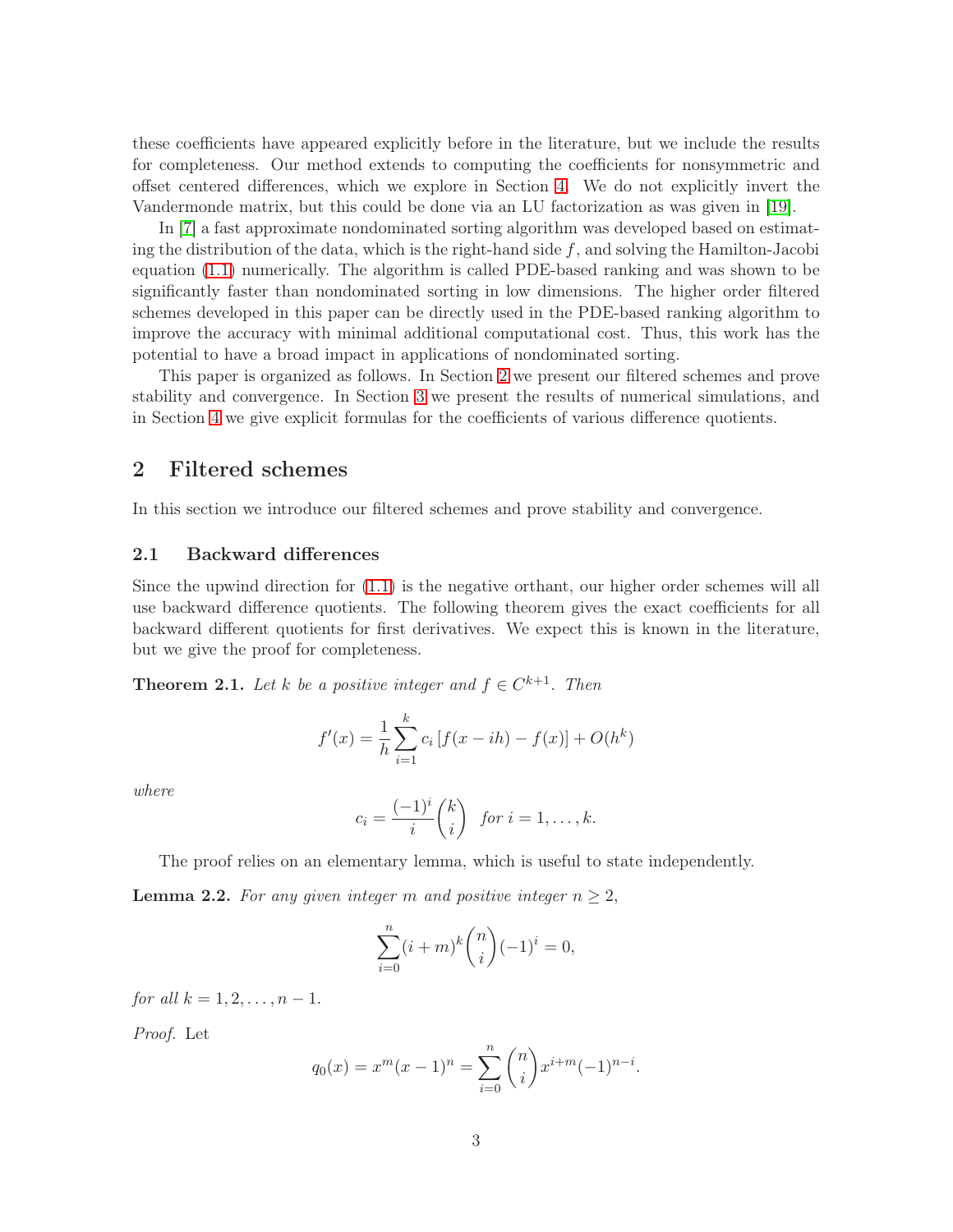these coefficients have appeared explicitly before in the literature, but we include the results for completeness. Our method extends to computing the coefficients for nonsymmetric and offset centered differences, which we explore in Section [4.](#page-12-0) We do not explicitly invert the Vandermonde matrix, but this could be done via an LU factorization as was given in [\[19\]](#page-24-4).

In [\[7\]](#page-23-9) a fast approximate nondominated sorting algorithm was developed based on estimating the distribution of the data, which is the right-hand side  $f$ , and solving the Hamilton-Jacobi equation [\(1.1\)](#page-0-0) numerically. The algorithm is called PDE-based ranking and was shown to be significantly faster than nondominated sorting in low dimensions. The higher order filtered schemes developed in this paper can be directly used in the PDE-based ranking algorithm to improve the accuracy with minimal additional computational cost. Thus, this work has the potential to have a broad impact in applications of nondominated sorting.

This paper is organized as follows. In Section [2](#page-2-0) we present our filtered schemes and prove stability and convergence. In Section [3](#page-7-0) we present the results of numerical simulations, and in Section [4](#page-12-0) we give explicit formulas for the coefficients of various difference quotients.

## <span id="page-2-0"></span>2 Filtered schemes

In this section we introduce our filtered schemes and prove stability and convergence.

#### <span id="page-2-3"></span>2.1 Backward differences

Since the upwind direction for [\(1.1\)](#page-0-0) is the negative orthant, our higher order schemes will all use backward difference quotients. The following theorem gives the exact coefficients for all backward different quotients for first derivatives. We expect this is known in the literature, but we give the proof for completeness.

<span id="page-2-1"></span>**Theorem 2.1.** Let k be a positive integer and  $f \in C^{k+1}$ . Then

$$
f'(x) = \frac{1}{h} \sum_{i=1}^{k} c_i \left[ f(x - ih) - f(x) \right] + O(h^k)
$$

where

$$
c_i = \frac{(-1)^i}{i} {k \choose i} \text{ for } i = 1, \dots, k.
$$

The proof relies on an elementary lemma, which is useful to state independently.

<span id="page-2-2"></span>**Lemma 2.2.** For any given integer m and positive integer  $n \geq 2$ ,

$$
\sum_{i=0}^{n} (i+m)^{k} \binom{n}{i} (-1)^{i} = 0,
$$

for all  $k = 1, 2, ..., n - 1$ .

Proof. Let

$$
q_0(x) = x^m(x-1)^n = \sum_{i=0}^n \binom{n}{i} x^{i+m} (-1)^{n-i}.
$$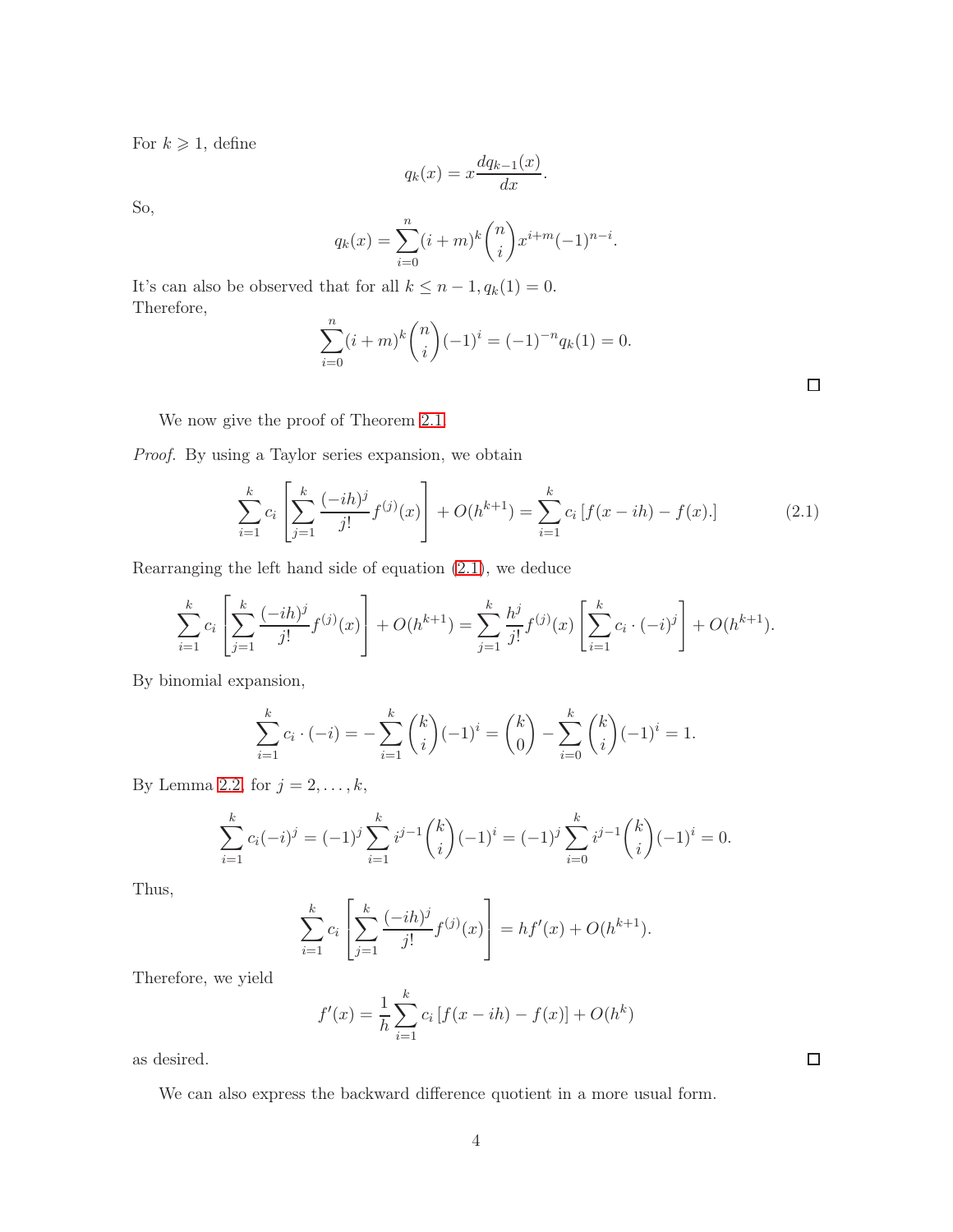For  $k \geqslant 1$ , define

$$
q_k(x) = x \frac{dq_{k-1}(x)}{dx}.
$$

So,

$$
q_k(x) = \sum_{i=0}^n (i+m)^k \binom{n}{i} x^{i+m} (-1)^{n-i}.
$$

It's can also be observed that for all  $k \leq n-1, q_k(1) = 0$ . Therefore,

$$
\sum_{i=0}^{n} (i+m)^{k} {n \choose i} (-1)^{i} = (-1)^{-n} q_{k}(1) = 0.
$$

 $\Box$ 

We now give the proof of Theorem [2.1.](#page-2-1)

Proof. By using a Taylor series expansion, we obtain

<span id="page-3-0"></span>
$$
\sum_{i=1}^{k} c_i \left[ \sum_{j=1}^{k} \frac{(-ih)^j}{j!} f^{(j)}(x) \right] + O(h^{k+1}) = \sum_{i=1}^{k} c_i \left[ f(x - ih) - f(x) \right]. \tag{2.1}
$$

Rearranging the left hand side of equation [\(2.1\)](#page-3-0), we deduce

$$
\sum_{i=1}^{k} c_i \left[ \sum_{j=1}^{k} \frac{(-ih)^j}{j!} f^{(j)}(x) \right] + O(h^{k+1}) = \sum_{j=1}^{k} \frac{h^j}{j!} f^{(j)}(x) \left[ \sum_{i=1}^{k} c_i \cdot (-i)^j \right] + O(h^{k+1}).
$$

By binomial expansion,

$$
\sum_{i=1}^{k} c_i \cdot (-i) = -\sum_{i=1}^{k} {k \choose i} (-1)^i = {k \choose 0} - \sum_{i=0}^{k} {k \choose i} (-1)^i = 1.
$$

By Lemma [2.2,](#page-2-2) for  $j = 2, \ldots, k$ ,

$$
\sum_{i=1}^{k} c_i (-i)^j = (-1)^j \sum_{i=1}^{k} i^{j-1} {k \choose i} (-1)^i = (-1)^j \sum_{i=0}^{k} i^{j-1} {k \choose i} (-1)^i = 0.
$$

Thus,

$$
\sum_{i=1}^{k} c_i \left[ \sum_{j=1}^{k} \frac{(-ih)^j}{j!} f^{(j)}(x) \right] = hf'(x) + O(h^{k+1}).
$$

Therefore, we yield

$$
f'(x) = \frac{1}{h} \sum_{i=1}^{k} c_i \left[ f(x - ih) - f(x) \right] + O(h^k)
$$

as desired.

We can also express the backward difference quotient in a more usual form.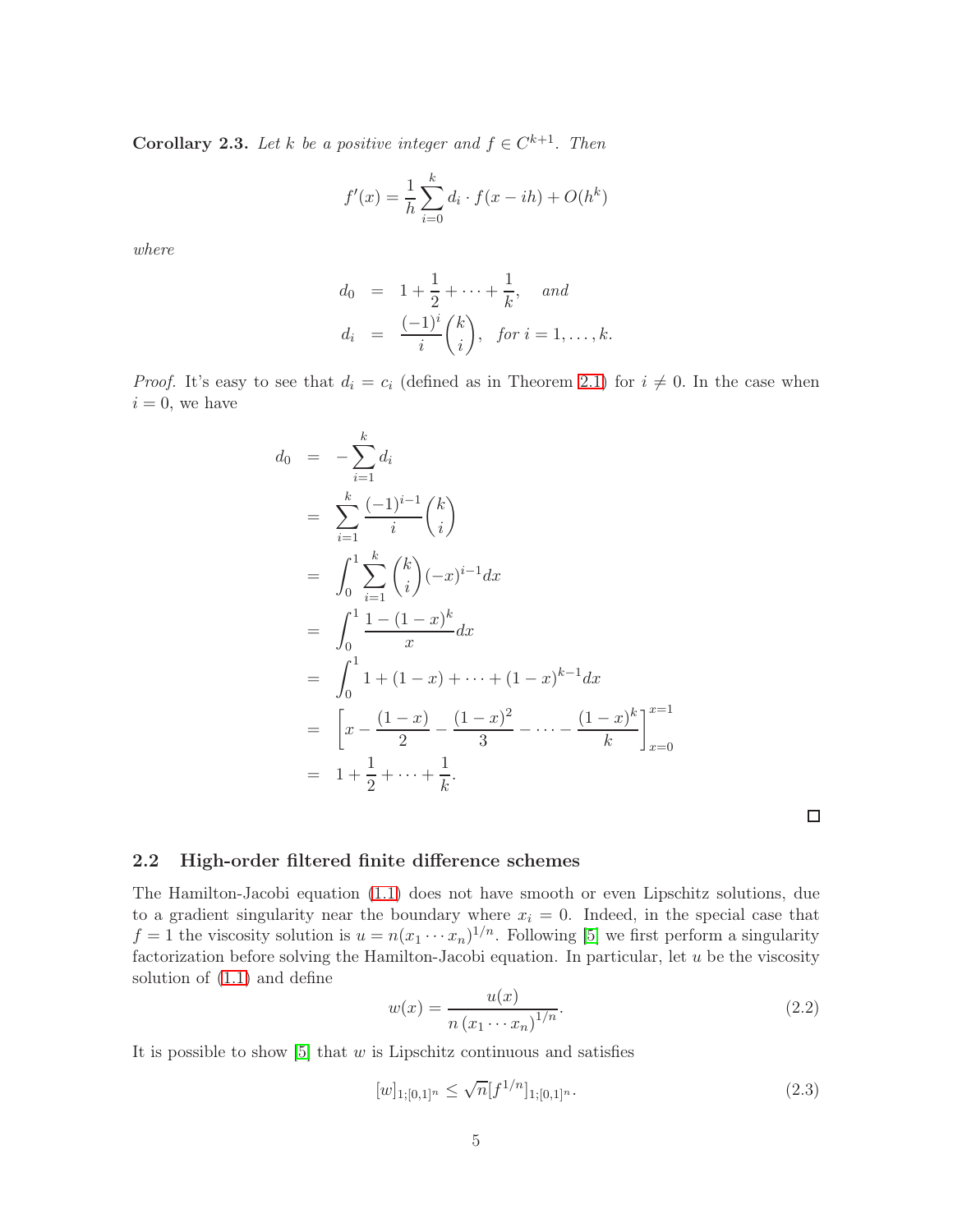<span id="page-4-1"></span>**Corollary 2.3.** Let k be a positive integer and  $f \in C^{k+1}$ . Then

$$
f'(x) = \frac{1}{h} \sum_{i=0}^{k} d_i \cdot f(x - ih) + O(h^k)
$$

where

$$
d_0 = 1 + \frac{1}{2} + \dots + \frac{1}{k}, \text{ and}
$$
  
\n
$$
d_i = \frac{(-1)^i}{i} {k \choose i}, \text{ for } i = 1, \dots, k.
$$

*Proof.* It's easy to see that  $d_i = c_i$  (defined as in Theorem [2.1\)](#page-2-1) for  $i \neq 0$ . In the case when  $i = 0$ , we have

$$
d_0 = -\sum_{i=1}^k d_i
$$
  
\n
$$
= \sum_{i=1}^k \frac{(-1)^{i-1}}{i} {k \choose i}
$$
  
\n
$$
= \int_0^1 \sum_{i=1}^k {k \choose i} (-x)^{i-1} dx
$$
  
\n
$$
= \int_0^1 \frac{1 - (1-x)^k}{x} dx
$$
  
\n
$$
= \int_0^1 1 + (1-x) + \dots + (1-x)^{k-1} dx
$$
  
\n
$$
= \left[ x - \frac{(1-x)}{2} - \frac{(1-x)^2}{3} - \dots - \frac{(1-x)^k}{k} \right]_{x=0}^{x=1}
$$
  
\n
$$
= 1 + \frac{1}{2} + \dots + \frac{1}{k}.
$$

 $\Box$ 

#### 2.2 High-order filtered finite difference schemes

The Hamilton-Jacobi equation [\(1.1\)](#page-0-0) does not have smooth or even Lipschitz solutions, due to a gradient singularity near the boundary where  $x_i = 0$ . Indeed, in the special case that  $f = 1$  the viscosity solution is  $u = n(x_1 \cdots x_n)^{1/n}$ . Following [\[5\]](#page-23-1) we first perform a singularity factorization before solving the Hamilton-Jacobi equation. In particular, let  $u$  be the viscosity solution of [\(1.1\)](#page-0-0) and define

<span id="page-4-0"></span>
$$
w(x) = \frac{u(x)}{n (x_1 \cdots x_n)^{1/n}}.
$$
\n(2.2)

It is possible to show  $[5]$  that w is Lipschitz continuous and satisfies

$$
[w]_{1;[0,1]^n} \le \sqrt{n} [f^{1/n}]_{1;[0,1]^n}.
$$
\n(2.3)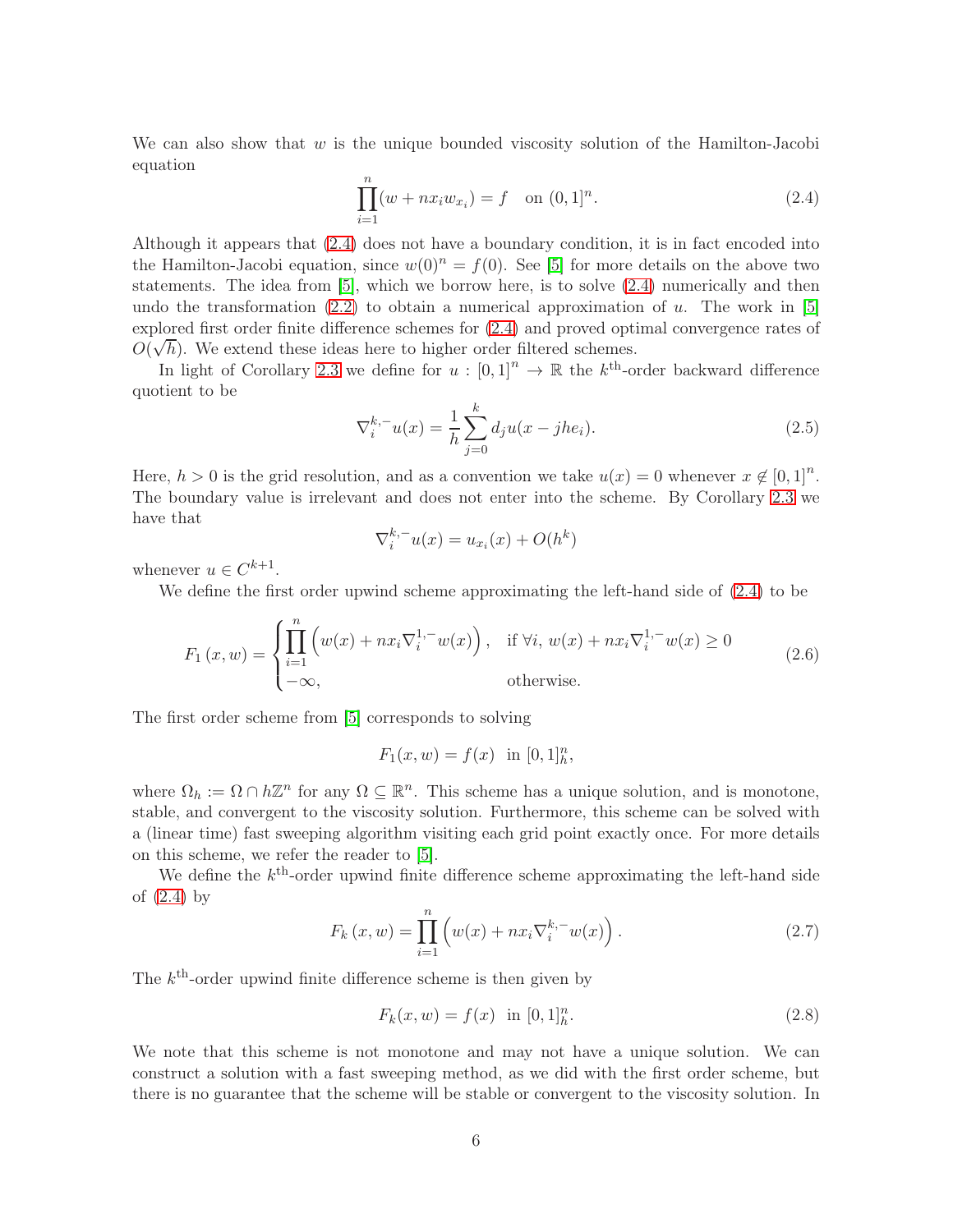We can also show that  $w$  is the unique bounded viscosity solution of the Hamilton-Jacobi equation

<span id="page-5-0"></span>
$$
\prod_{i=1}^{n} (w + nx_i w_{x_i}) = f \quad \text{on } (0,1]^n.
$$
 (2.4)

Although it appears that [\(2.4\)](#page-5-0) does not have a boundary condition, it is in fact encoded into the Hamilton-Jacobi equation, since  $w(0)^n = f(0)$ . See [\[5\]](#page-23-1) for more details on the above two statements. The idea from [\[5\]](#page-23-1), which we borrow here, is to solve [\(2.4\)](#page-5-0) numerically and then undo the transformation  $(2.2)$  to obtain a numerical approximation of u. The work in [\[5\]](#page-23-1) explored first order finite difference schemes for [\(2.4\)](#page-5-0) and proved optimal convergence rates of  $O(\sqrt{h})$ . We extend these ideas here to higher order filtered schemes.

In light of Corollary [2.3](#page-4-1) we define for  $u : [0,1]^n \to \mathbb{R}$  the  $k^{\text{th}}$ -order backward difference quotient to be

$$
\nabla_i^{k,-} u(x) = \frac{1}{h} \sum_{j=0}^k d_j u(x - j h e_i).
$$
 (2.5)

Here,  $h > 0$  is the grid resolution, and as a convention we take  $u(x) = 0$  whenever  $x \notin [0, 1]^n$ . The boundary value is irrelevant and does not enter into the scheme. By Corollary [2.3](#page-4-1) we have that

$$
\nabla_i^{k,-} u(x) = u_{x_i}(x) + O(h^k)
$$

whenever  $u \in C^{k+1}$ .

We define the first order upwind scheme approximating the left-hand side of [\(2.4\)](#page-5-0) to be

$$
F_1(x, w) = \begin{cases} \prod_{i=1}^n \left( w(x) + nx_i \nabla_i^{1, -} w(x) \right), & \text{if } \forall i, w(x) + nx_i \nabla_i^{1, -} w(x) \ge 0 \\ -\infty, & \text{otherwise.} \end{cases}
$$
(2.6)

The first order scheme from [\[5\]](#page-23-1) corresponds to solving

$$
F_1(x, w) = f(x) \text{ in } [0, 1]_h^n,
$$

where  $\Omega_h := \Omega \cap h\mathbb{Z}^n$  for any  $\Omega \subseteq \mathbb{R}^n$ . This scheme has a unique solution, and is monotone, stable, and convergent to the viscosity solution. Furthermore, this scheme can be solved with a (linear time) fast sweeping algorithm visiting each grid point exactly once. For more details on this scheme, we refer the reader to [\[5\]](#page-23-1).

We define the  $k^{\text{th}}$ -order upwind finite difference scheme approximating the left-hand side of [\(2.4\)](#page-5-0) by

$$
F_k(x, w) = \prod_{i=1}^n \left( w(x) + nx_i \nabla_i^{k,-} w(x) \right).
$$
 (2.7)

The  $k^{\text{th}}$ -order upwind finite difference scheme is then given by

$$
F_k(x, w) = f(x) \text{ in } [0, 1]_h^n. \tag{2.8}
$$

We note that this scheme is not monotone and may not have a unique solution. We can construct a solution with a fast sweeping method, as we did with the first order scheme, but there is no guarantee that the scheme will be stable or convergent to the viscosity solution. In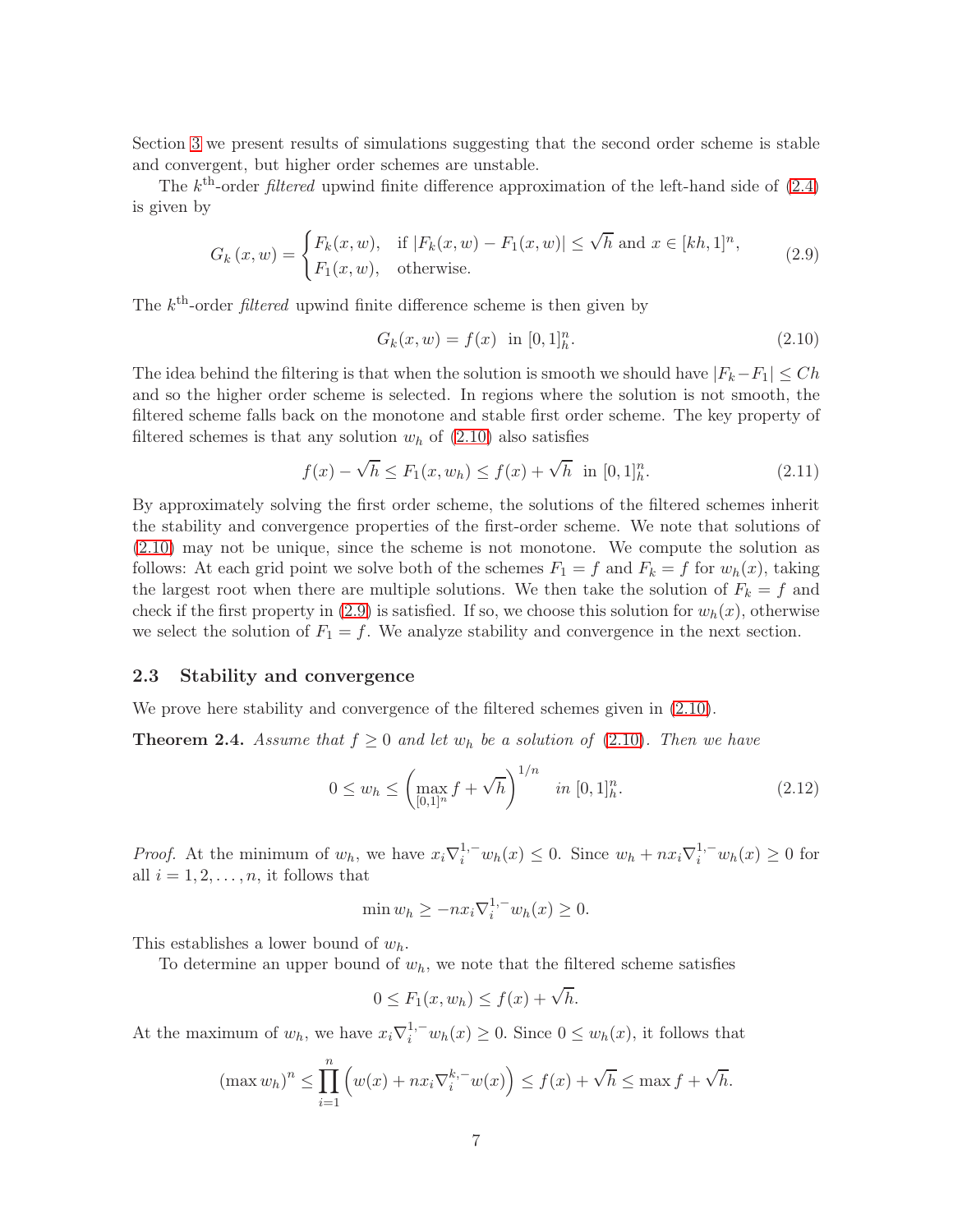Section [3](#page-7-0) we present results of simulations suggesting that the second order scheme is stable and convergent, but higher order schemes are unstable.

The  $k^{\text{th}}$ -order *filtered* upwind finite difference approximation of the left-hand side of  $(2.4)$ is given by

<span id="page-6-1"></span>
$$
G_k(x, w) = \begin{cases} F_k(x, w), & \text{if } |F_k(x, w) - F_1(x, w)| \le \sqrt{h} \text{ and } x \in [kh, 1]^n, \\ F_1(x, w), & \text{otherwise.} \end{cases}
$$
(2.9)

The  $k^{\text{th}}$ -order *filtered* upwind finite difference scheme is then given by

<span id="page-6-0"></span>
$$
G_k(x, w) = f(x) \text{ in } [0, 1]_h^n. \tag{2.10}
$$

The idea behind the filtering is that when the solution is smooth we should have  $|F_k-F_1| \leq Ch$ and so the higher order scheme is selected. In regions where the solution is not smooth, the filtered scheme falls back on the monotone and stable first order scheme. The key property of filtered schemes is that any solution  $w<sub>h</sub>$  of [\(2.10\)](#page-6-0) also satisfies

$$
f(x) - \sqrt{h} \le F_1(x, w_h) \le f(x) + \sqrt{h} \text{ in } [0, 1]_h^n. \tag{2.11}
$$

By approximately solving the first order scheme, the solutions of the filtered schemes inherit the stability and convergence properties of the first-order scheme. We note that solutions of [\(2.10\)](#page-6-0) may not be unique, since the scheme is not monotone. We compute the solution as follows: At each grid point we solve both of the schemes  $F_1 = f$  and  $F_k = f$  for  $w_h(x)$ , taking the largest root when there are multiple solutions. We then take the solution of  $F_k = f$  and check if the first property in  $(2.9)$  is satisfied. If so, we choose this solution for  $w_h(x)$ , otherwise we select the solution of  $F_1 = f$ . We analyze stability and convergence in the next section.

#### 2.3 Stability and convergence

We prove here stability and convergence of the filtered schemes given in [\(2.10\)](#page-6-0).

**Theorem 2.4.** Assume that  $f \geq 0$  and let  $w_h$  be a solution of [\(2.10\)](#page-6-0). Then we have

<span id="page-6-2"></span>
$$
0 \le w_h \le \left(\max_{[0,1]^n} f + \sqrt{h}\right)^{1/n} \quad in \ [0,1]^n_h. \tag{2.12}
$$

*Proof.* At the minimum of  $w_h$ , we have  $x_i \nabla_i^{1,-} w_h(x) \leq 0$ . Since  $w_h + nx_i \nabla_i^{1,-} w_h(x) \geq 0$  for all  $i = 1, 2, \ldots, n$ , it follows that

$$
\min w_h \ge -nx_i \nabla_i^{1,-} w_h(x) \ge 0.
$$

This establishes a lower bound of  $w_h$ .

To determine an upper bound of  $w_h$ , we note that the filtered scheme satisfies

$$
0 \le F_1(x, w_h) \le f(x) + \sqrt{h}.
$$

At the maximum of  $w_h$ , we have  $x_i \nabla_i^{1,-} w_h(x) \geq 0$ . Since  $0 \leq w_h(x)$ , it follows that

$$
(\max w_h)^n \le \prod_{i=1}^n \left( w(x) + nx_i \nabla_i^{k,-} w(x) \right) \le f(x) + \sqrt{h} \le \max f + \sqrt{h}.
$$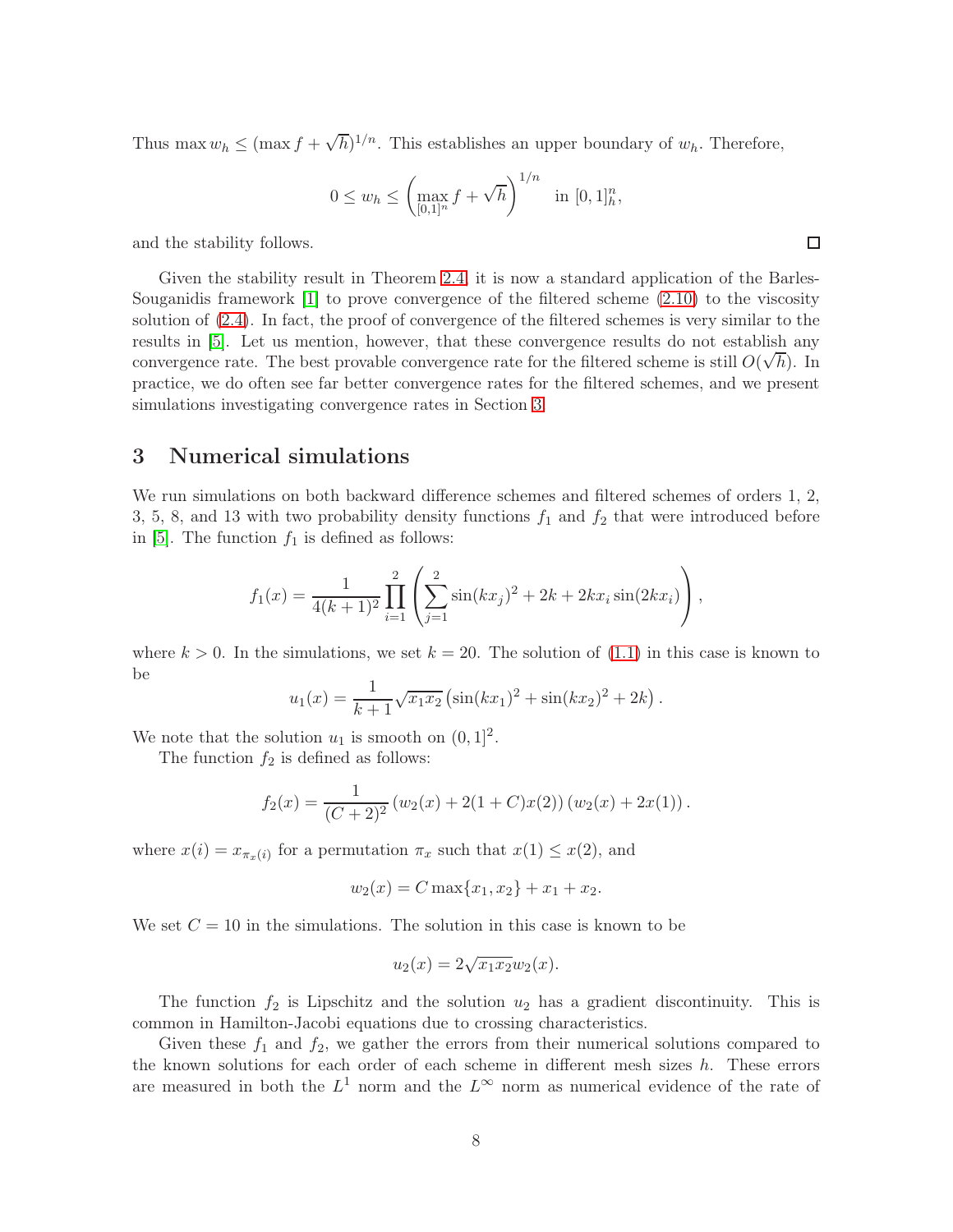Thus max  $w_h \leq (\max f + \sqrt{h})^{1/n}$ . This establishes an upper boundary of  $w_h$ . Therefore,

$$
0 \le w_h \le \left(\max_{[0,1]^n} f + \sqrt{h}\right)^{1/n} \quad \text{in } [0,1]^n_h,
$$

and the stability follows.

Given the stability result in Theorem [2.4,](#page-6-2) it is now a standard application of the Barles-Souganidis framework [\[1\]](#page-23-5) to prove convergence of the filtered scheme [\(2.10\)](#page-6-0) to the viscosity solution of [\(2.4\)](#page-5-0). In fact, the proof of convergence of the filtered schemes is very similar to the results in [\[5\]](#page-23-1). Let us mention, however, that these convergence results do not establish any convergence rate. The best provable convergence rate for the filtered scheme is still  $O(\sqrt{h})$ . In practice, we do often see far better convergence rates for the filtered schemes, and we present simulations investigating convergence rates in Section [3.](#page-7-0)

### <span id="page-7-0"></span>3 Numerical simulations

We run simulations on both backward difference schemes and filtered schemes of orders 1, 2, 3, 5, 8, and 13 with two probability density functions  $f_1$  and  $f_2$  that were introduced before in [\[5\]](#page-23-1). The function  $f_1$  is defined as follows:

$$
f_1(x) = \frac{1}{4(k+1)^2} \prod_{i=1}^2 \left( \sum_{j=1}^2 \sin(kx_j)^2 + 2k + 2kx_i \sin(2kx_i) \right),
$$

where  $k > 0$ . In the simulations, we set  $k = 20$ . The solution of  $(1.1)$  in this case is known to be

$$
u_1(x) = \frac{1}{k+1} \sqrt{x_1 x_2} \left( \sin(kx_1)^2 + \sin(kx_2)^2 + 2k \right).
$$

We note that the solution  $u_1$  is smooth on  $(0, 1]^2$ .

The function  $f_2$  is defined as follows:

$$
f_2(x) = \frac{1}{(C+2)^2} (w_2(x) + 2(1+C)x(2)) (w_2(x) + 2x(1)).
$$

where  $x(i) = x_{\pi_x(i)}$  for a permutation  $\pi_x$  such that  $x(1) \leq x(2)$ , and

$$
w_2(x) = C \max\{x_1, x_2\} + x_1 + x_2.
$$

We set  $C = 10$  in the simulations. The solution in this case is known to be

$$
u_2(x) = 2\sqrt{x_1 x_2} w_2(x).
$$

The function  $f_2$  is Lipschitz and the solution  $u_2$  has a gradient discontinuity. This is common in Hamilton-Jacobi equations due to crossing characteristics.

Given these  $f_1$  and  $f_2$ , we gather the errors from their numerical solutions compared to the known solutions for each order of each scheme in different mesh sizes  $h$ . These errors are measured in both the  $L^1$  norm and the  $L^{\infty}$  norm as numerical evidence of the rate of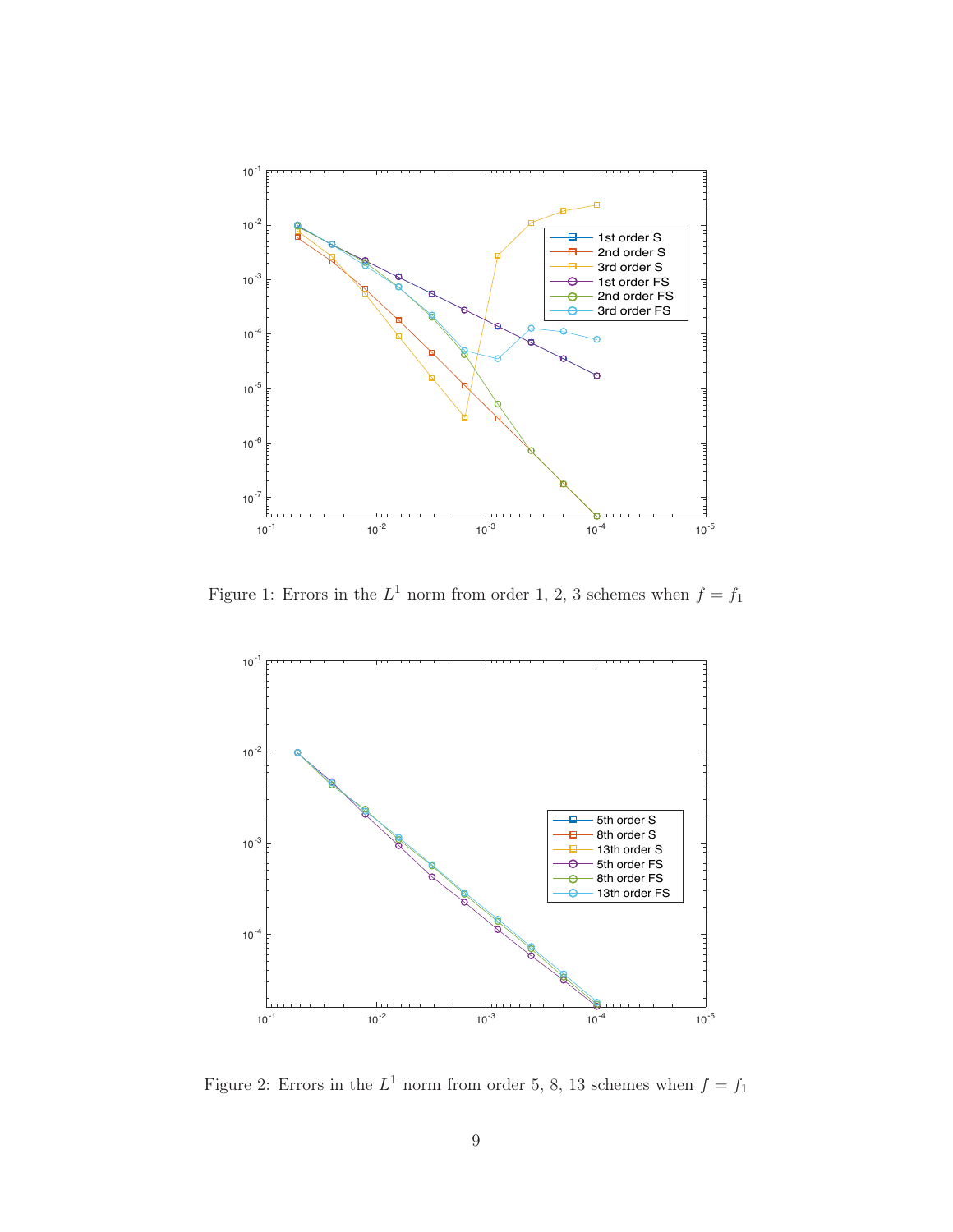

<span id="page-8-0"></span>Figure 1: Errors in the  $L^1$  norm from order 1, 2, 3 schemes when  $f = f_1$ 



Figure 2: Errors in the  $L^1$  norm from order 5, 8, 13 schemes when  $f = f_1$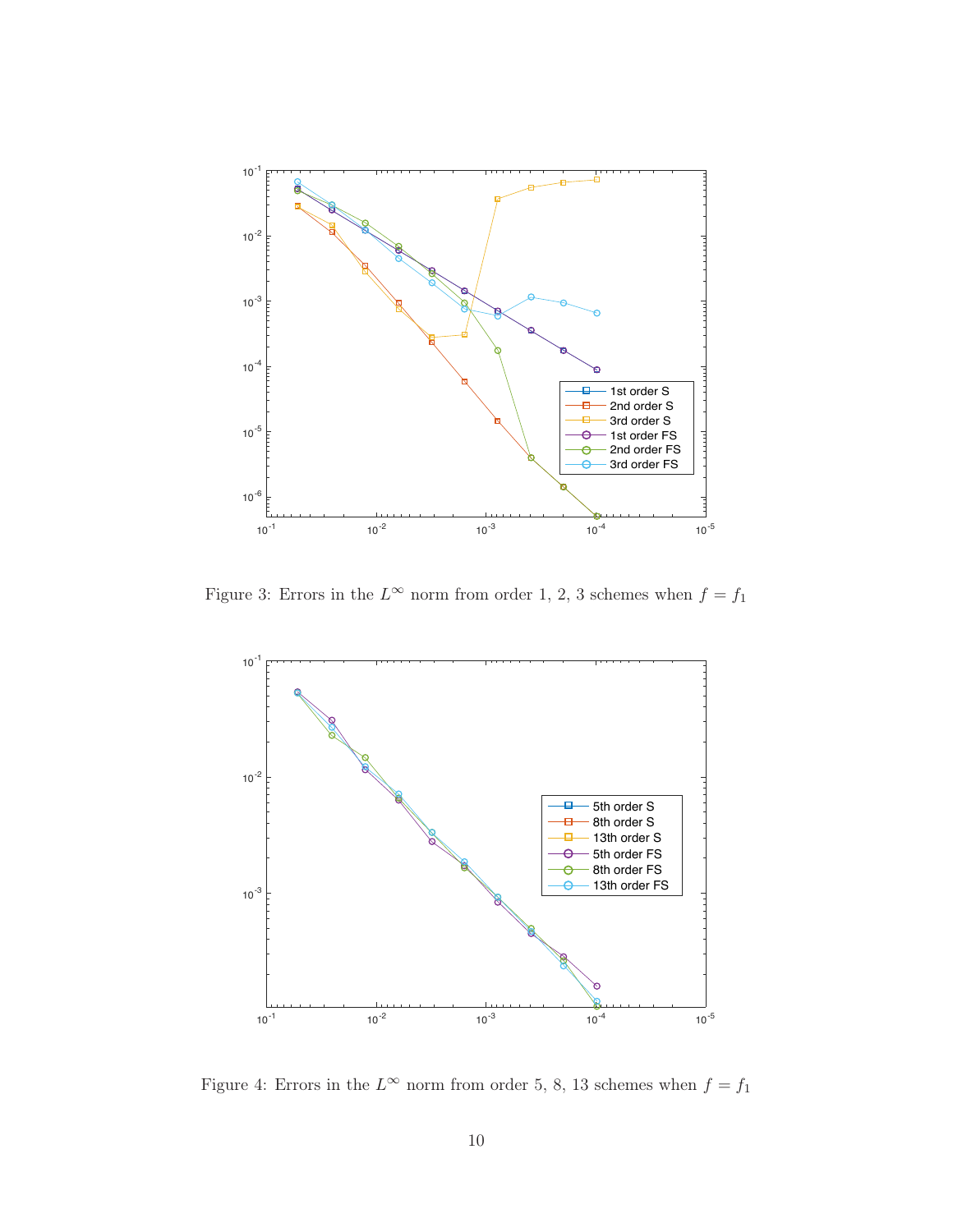

Figure 3: Errors in the  $L^{\infty}$  norm from order 1, 2, 3 schemes when  $f = f_1$ 



Figure 4: Errors in the  $L^{\infty}$  norm from order 5, 8, 13 schemes when  $f = f_1$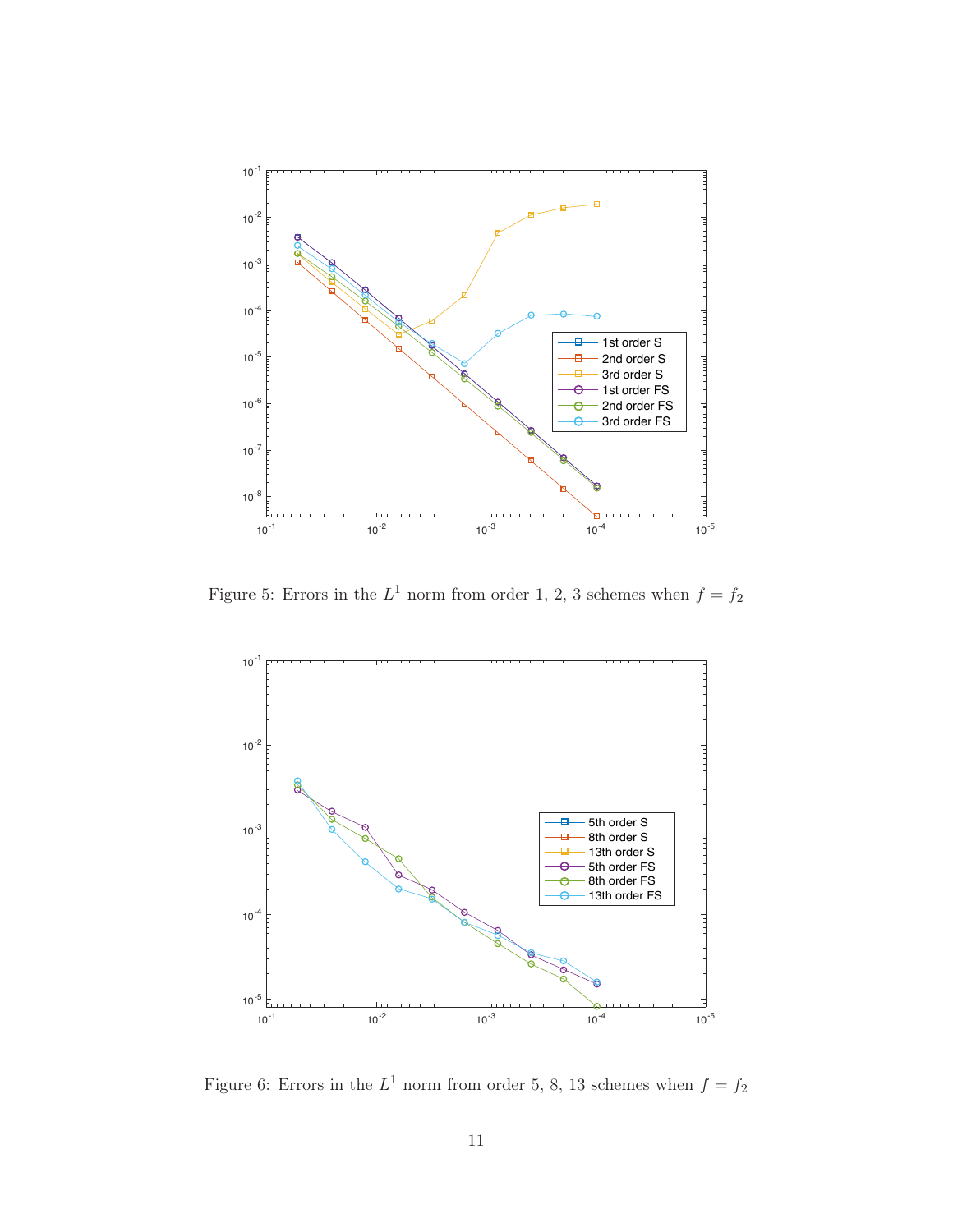

Figure 5: Errors in the  $L^1$  norm from order 1, 2, 3 schemes when  $f = f_2$ 



Figure 6: Errors in the  $L^1$  norm from order 5, 8, 13 schemes when  $f = f_2$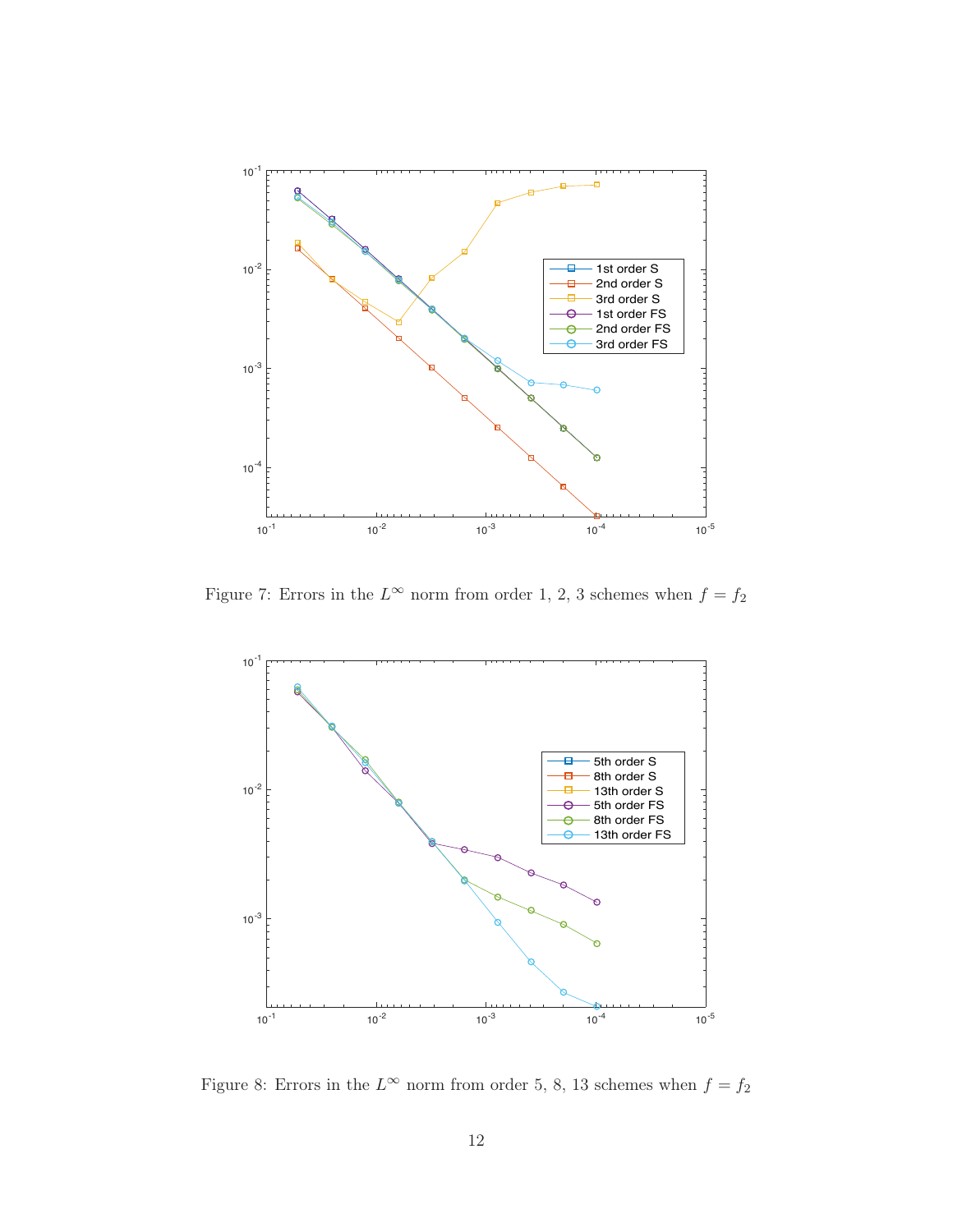

Figure 7: Errors in the  $L^{\infty}$  norm from order 1, 2, 3 schemes when  $f = f_2$ 



<span id="page-11-0"></span>Figure 8: Errors in the  $L^{\infty}$  norm from order 5, 8, 13 schemes when  $f = f_2$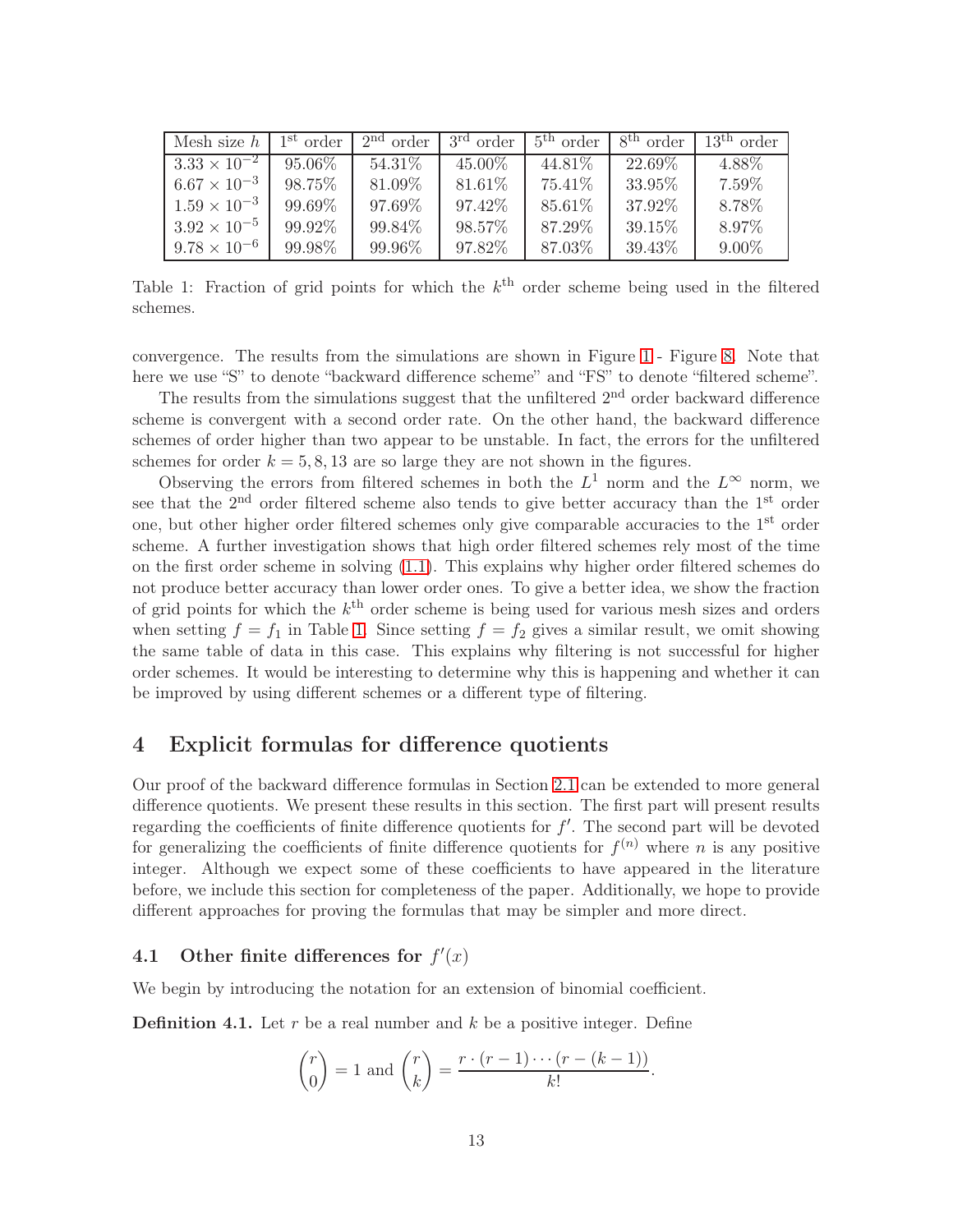| Mesh size $h$         | 1 <sup>st</sup> order | $2nd$ order | 3 <sup>rd</sup><br>order | $5th$ order | 8 <sup>th</sup> order | $13th$ order |
|-----------------------|-----------------------|-------------|--------------------------|-------------|-----------------------|--------------|
| $3.33 \times 10^{-2}$ | $95.06\%$             | 54.31%      | 45.00%                   | 44.81\%     | 22.69%                | 4.88%        |
| $6.67 \times 10^{-3}$ | 98.75%                | 81.09%      | 81.61%                   | 75.41%      | 33.95%                | 7.59%        |
| $1.59 \times 10^{-3}$ | 99.69%                | 97.69%      | 97.42\%                  | 85.61%      | 37.92%                | 8.78%        |
| $3.92 \times 10^{-5}$ | 99.92%                | 99.84%      | 98.57%                   | 87.29%      | 39.15%                | 8.97%        |
| $9.78 \times 10^{-6}$ | 99.98%                | 99.96%      | 97.82%                   | 87.03%      | 39.43%                | $9.00\%$     |

<span id="page-12-1"></span>Table 1: Fraction of grid points for which the  $k<sup>th</sup>$  order scheme being used in the filtered schemes.

convergence. The results from the simulations are shown in Figure [1](#page-8-0) - Figure [8.](#page-11-0) Note that here we use "S" to denote "backward difference scheme" and "FS" to denote "filtered scheme".

The results from the simulations suggest that the unfiltered 2<sup>nd</sup> order backward difference scheme is convergent with a second order rate. On the other hand, the backward difference schemes of order higher than two appear to be unstable. In fact, the errors for the unfiltered schemes for order  $k = 5, 8, 13$  are so large they are not shown in the figures.

Observing the errors from filtered schemes in both the  $L^1$  norm and the  $L^{\infty}$  norm, we see that the  $2<sup>nd</sup>$  order filtered scheme also tends to give better accuracy than the  $1<sup>st</sup>$  order one, but other higher order filtered schemes only give comparable accuracies to the 1<sup>st</sup> order scheme. A further investigation shows that high order filtered schemes rely most of the time on the first order scheme in solving [\(1.1\)](#page-0-0). This explains why higher order filtered schemes do not produce better accuracy than lower order ones. To give a better idea, we show the fraction of grid points for which the  $k<sup>th</sup>$  order scheme is being used for various mesh sizes and orders when setting  $f = f_1$  in Table [1.](#page-12-1) Since setting  $f = f_2$  gives a similar result, we omit showing the same table of data in this case. This explains why filtering is not successful for higher order schemes. It would be interesting to determine why this is happening and whether it can be improved by using different schemes or a different type of filtering.

### <span id="page-12-0"></span>4 Explicit formulas for difference quotients

Our proof of the backward difference formulas in Section [2.1](#page-2-3) can be extended to more general difference quotients. We present these results in this section. The first part will present results regarding the coefficients of finite difference quotients for  $f'$ . The second part will be devoted for generalizing the coefficients of finite difference quotients for  $f^{(n)}$  where n is any positive integer. Although we expect some of these coefficients to have appeared in the literature before, we include this section for completeness of the paper. Additionally, we hope to provide different approaches for proving the formulas that may be simpler and more direct.

# 4.1 Other finite differences for  $f'(x)$

We begin by introducing the notation for an extension of binomial coefficient.

**Definition 4.1.** Let  $r$  be a real number and  $k$  be a positive integer. Define

$$
\binom{r}{0} = 1 \text{ and } \binom{r}{k} = \frac{r \cdot (r-1) \cdots (r-(k-1))}{k!}.
$$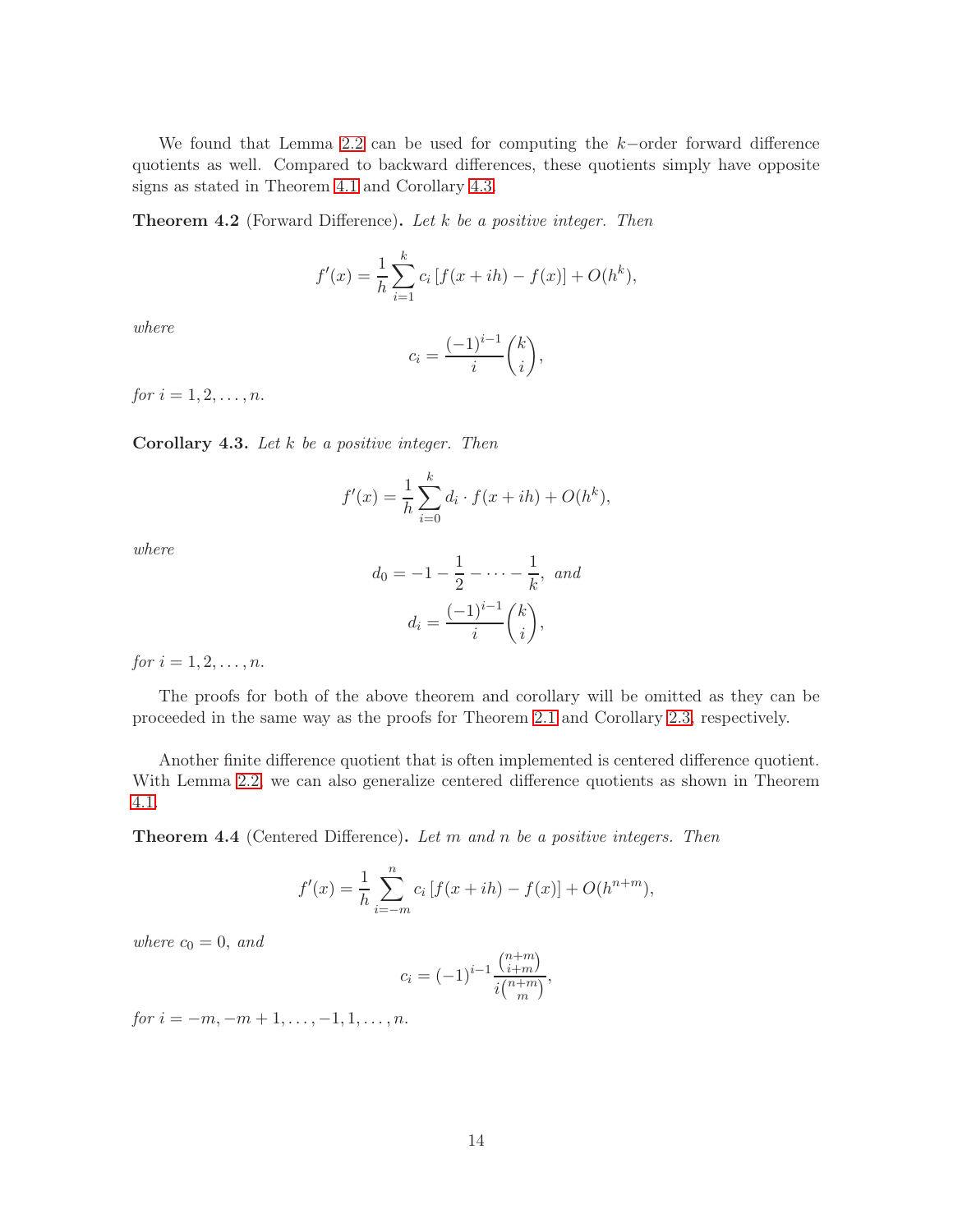We found that Lemma [2.2](#page-2-2) can be used for computing the k−order forward difference quotients as well. Compared to backward differences, these quotients simply have opposite signs as stated in Theorem [4.1](#page-13-0) and Corollary [4.3.](#page-13-1)

<span id="page-13-0"></span>**Theorem 4.2** (Forward Difference). Let  $k$  be a positive integer. Then

$$
f'(x) = \frac{1}{h} \sum_{i=1}^{k} c_i \left[ f(x+ih) - f(x) \right] + O(h^k),
$$

where

$$
c_i = \frac{(-1)^{i-1}}{i} \binom{k}{i},
$$

for  $i = 1, 2, ..., n$ .

<span id="page-13-1"></span>Corollary 4.3. Let  $k$  be a positive integer. Then

$$
f'(x) = \frac{1}{h} \sum_{i=0}^{k} d_i \cdot f(x + ih) + O(h^k),
$$

where

$$
d_0 = -1 - \frac{1}{2} - \dots - \frac{1}{k}, \text{ and}
$$

$$
d_i = \frac{(-1)^{i-1}}{i} {k \choose i},
$$

for  $i = 1, 2, ..., n$ .

The proofs for both of the above theorem and corollary will be omitted as they can be proceeded in the same way as the proofs for Theorem [2.1](#page-2-1) and Corollary [2.3,](#page-4-1) respectively.

Another finite difference quotient that is often implemented is centered difference quotient. With Lemma [2.2,](#page-2-2) we can also generalize centered difference quotients as shown in Theorem [4.1.](#page-13-2)

<span id="page-13-2"></span>**Theorem 4.4** (Centered Difference). Let m and n be a positive integers. Then

$$
f'(x) = \frac{1}{h} \sum_{i=-m}^{n} c_i \left[ f(x+ih) - f(x) \right] + O(h^{n+m}),
$$

where  $c_0 = 0$ , and

$$
c_i = (-1)^{i-1} \frac{\binom{n+m}{i+m}}{i \binom{n+m}{m}},
$$

for  $i = -m, -m + 1, \ldots, -1, 1, \ldots, n$ .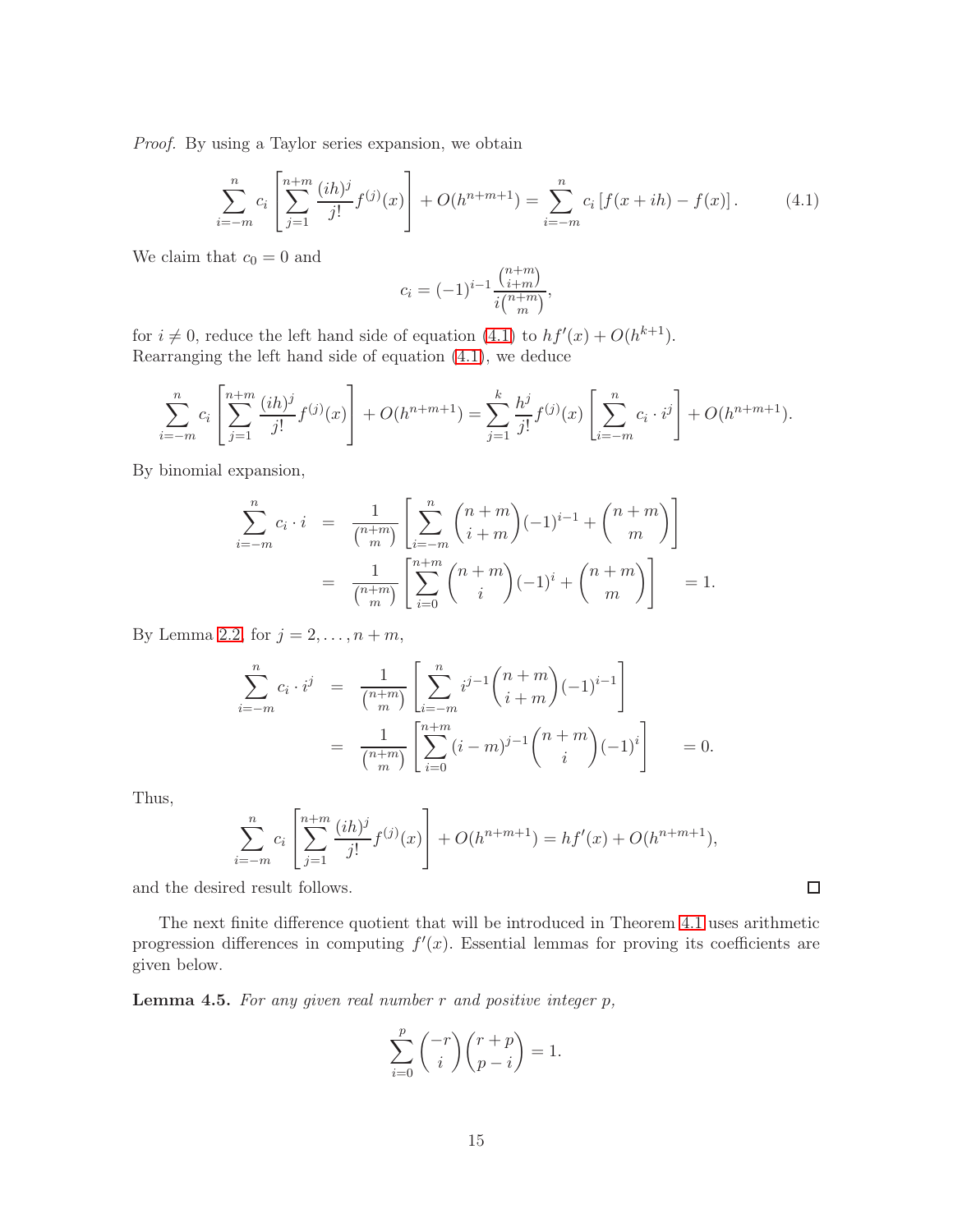Proof. By using a Taylor series expansion, we obtain

<span id="page-14-0"></span>
$$
\sum_{i=-m}^{n} c_i \left[ \sum_{j=1}^{n+m} \frac{(ih)^j}{j!} f^{(j)}(x) \right] + O(h^{n+m+1}) = \sum_{i=-m}^{n} c_i \left[ f(x+ih) - f(x) \right]. \tag{4.1}
$$

We claim that  $c_0 = 0$  and

$$
c_i = (-1)^{i-1} \frac{\binom{n+m}{i+m}}{i \binom{n+m}{m}},
$$

for  $i \neq 0$ , reduce the left hand side of equation [\(4.1\)](#page-14-0) to  $hf'(x) + O(h^{k+1})$ . Rearranging the left hand side of equation [\(4.1\)](#page-14-0), we deduce

$$
\sum_{i=-m}^{n} c_i \left[ \sum_{j=1}^{n+m} \frac{(ih)^j}{j!} f^{(j)}(x) \right] + O(h^{n+m+1}) = \sum_{j=1}^{k} \frac{h^j}{j!} f^{(j)}(x) \left[ \sum_{i=-m}^{n} c_i \cdot i^j \right] + O(h^{n+m+1}).
$$

By binomial expansion,

$$
\sum_{i=-m}^{n} c_i \cdot i = \frac{1}{\binom{n+m}{m}} \left[ \sum_{i=-m}^{n} \binom{n+m}{i+m} (-1)^{i-1} + \binom{n+m}{m} \right]
$$

$$
= \frac{1}{\binom{n+m}{m}} \left[ \sum_{i=0}^{n+m} \binom{n+m}{i} (-1)^i + \binom{n+m}{m} \right] = 1.
$$

By Lemma [2.2,](#page-2-2) for  $j = 2, \ldots, n + m$ ,

$$
\sum_{i=-m}^{n} c_i \cdot i^j = \frac{1}{\binom{n+m}{m}} \left[ \sum_{i=-m}^{n} i^{j-1} \binom{n+m}{i+m} (-1)^{i-1} \right]
$$

$$
= \frac{1}{\binom{n+m}{m}} \left[ \sum_{i=0}^{n+m} (i-m)^{j-1} \binom{n+m}{i} (-1)^i \right] = 0.
$$

Thus,

$$
\sum_{i=-m}^{n} c_i \left[ \sum_{j=1}^{n+m} \frac{(ih)^j}{j!} f^{(j)}(x) \right] + O(h^{n+m+1}) = h f'(x) + O(h^{n+m+1}),
$$

and the desired result follows.

The next finite difference quotient that will be introduced in Theorem [4.1](#page-16-0) uses arithmetic progression differences in computing  $f'(x)$ . Essential lemmas for proving its coefficients are given below.

<span id="page-14-1"></span>**Lemma 4.5.** For any given real number  $r$  and positive integer  $p$ ,

$$
\sum_{i=0}^{p} \binom{-r}{i} \binom{r+p}{p-i} = 1.
$$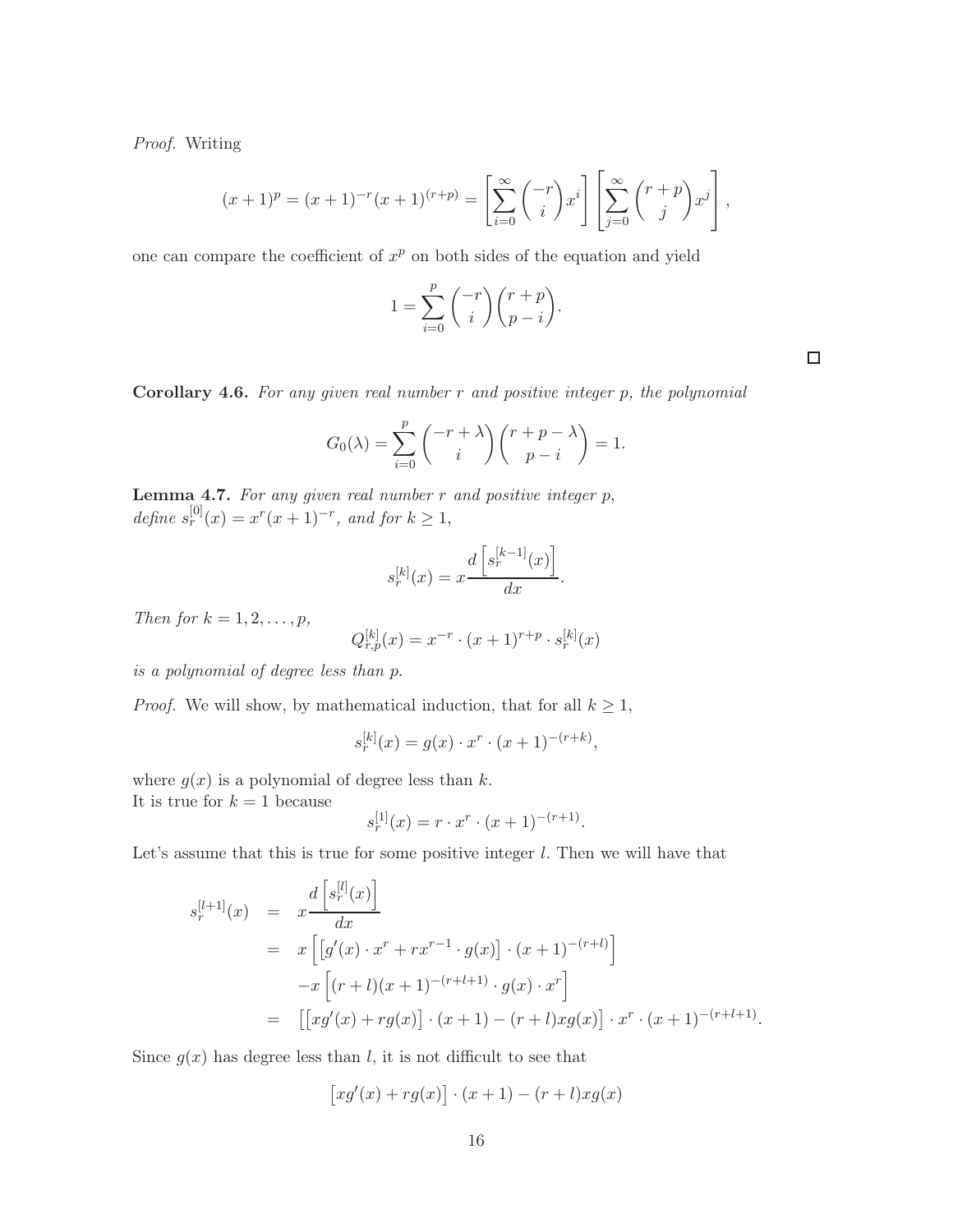Proof. Writing

$$
(x+1)^p = (x+1)^{-r}(x+1)^{(r+p)} = \left[\sum_{i=0}^{\infty} {\binom{-r}{i}} x^i\right] \left[\sum_{j=0}^{\infty} {\binom{r+p}{j}} x^j\right],
$$

one can compare the coefficient of  $x^p$  on both sides of the equation and yield

$$
1 = \sum_{i=0}^{p} \binom{-r}{i} \binom{r+p}{p-i}.
$$

 $\Box$ 

.

<span id="page-15-1"></span>**Corollary 4.6.** For any given real number  $r$  and positive integer  $p$ , the polynomial

$$
G_0(\lambda) = \sum_{i=0}^p \binom{-r + \lambda}{i} \binom{r + p - \lambda}{p - i} = 1.
$$

<span id="page-15-0"></span>**Lemma 4.7.** For any given real number  $r$  and positive integer  $p$ , define  $s_r^{[0]}(x) = x^r(x+1)^{-r}$ , and for  $k \ge 1$ ,

$$
s_r^{[k]}(x) = x \frac{d\left[s_r^{[k-1]}(x)\right]}{dx}.
$$

Then for  $k = 1, 2, \ldots, p$ ,

$$
Q_{r,p}^{[k]}(x) = x^{-r} \cdot (x+1)^{r+p} \cdot s_r^{[k]}(x)
$$

is a polynomial of degree less than p.

*Proof.* We will show, by mathematical induction, that for all  $k \geq 1$ ,

$$
s_r^{[k]}(x) = g(x) \cdot x^r \cdot (x+1)^{-(r+k)},
$$

where  $g(x)$  is a polynomial of degree less than k.

It is true for  $k = 1$  because

$$
s_r^{[1]}(x) = r \cdot x^r \cdot (x+1)^{-(r+1)}.
$$

Let's assume that this is true for some positive integer  $l$ . Then we will have that

$$
s_r^{[l+1]}(x) = x \frac{d \left[ s_r^{[l]}(x) \right]}{dx}
$$
  
=  $x \left[ \left[ g'(x) \cdot x^r + rx^{r-1} \cdot g(x) \right] \cdot (x+1)^{-(r+l)} \right]$   
 $-x \left[ (r+l)(x+1)^{-(r+l+1)} \cdot g(x) \cdot x^r \right]$   
=  $\left[ \left[ xg'(x) + rg(x) \right] \cdot (x+1) - (r+l)xg(x) \right] \cdot x^r \cdot (x+1)^{-(r+l+1)}$ 

Since  $g(x)$  has degree less than l, it is not difficult to see that

$$
[xg'(x) + rg(x)] \cdot (x+1) - (r+l)xg(x)
$$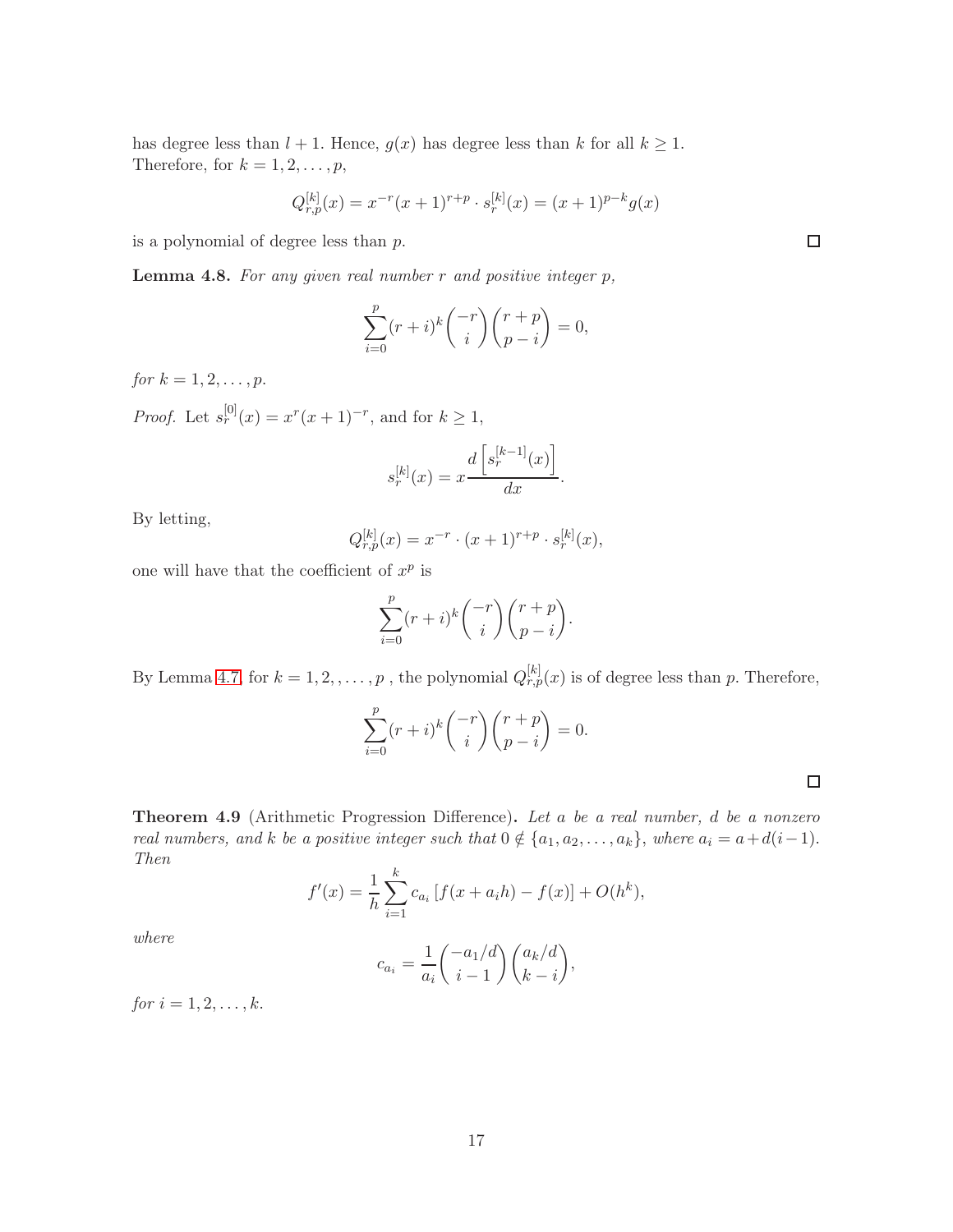has degree less than  $l + 1$ . Hence,  $g(x)$  has degree less than k for all  $k \geq 1$ . Therefore, for  $k = 1, 2, \ldots, p$ ,

$$
Q_{r,p}^{[k]}(x) = x^{-r}(x+1)^{r+p} \cdot s_r^{[k]}(x) = (x+1)^{p-k}g(x)
$$

is a polynomial of degree less than  $p$ .

<span id="page-16-1"></span>**Lemma 4.8.** For any given real number  $r$  and positive integer  $p$ ,

$$
\sum_{i=0}^{p} (r+i)^{k} \binom{-r}{i} \binom{r+p}{p-i} = 0,
$$

for  $k = 1, 2, ..., p$ .

*Proof.* Let  $s_r^{[0]}(x) = x^r(x+1)^{-r}$ , and for  $k \ge 1$ ,

$$
s_r^{[k]}(x) = x \frac{d\left[s_r^{[k-1]}(x)\right]}{dx}.
$$

By letting,

$$
Q_{r,p}^{[k]}(x) = x^{-r} \cdot (x+1)^{r+p} \cdot s_r^{[k]}(x),
$$

one will have that the coefficient of  $x^p$  is

$$
\sum_{i=0}^{p} (r+i)^{k} \binom{-r}{i} \binom{r+p}{p-i}.
$$

By Lemma [4.7,](#page-15-0) for  $k = 1, 2, ..., p$ , the polynomial  $Q_{r,p}^{[k]}(x)$  is of degree less than p. Therefore,

$$
\sum_{i=0}^{p} (r+i)^{k} \binom{-r}{i} \binom{r+p}{p-i} = 0.
$$

<span id="page-16-0"></span>Theorem 4.9 (Arithmetic Progression Difference). Let a be a real number, d be a nonzero real numbers, and k be a positive integer such that  $0 \notin \{a_1, a_2, \ldots, a_k\}$ , where  $a_i = a + d(i-1)$ . Then

$$
f'(x) = \frac{1}{h} \sum_{i=1}^{k} c_{a_i} [f(x + a_i h) - f(x)] + O(h^k),
$$

where

$$
c_{a_i} = \frac{1}{a_i} \binom{-a_1/d}{i-1} \binom{a_k/d}{k-i},
$$

for  $i = 1, 2, ..., k$ .

 $\Box$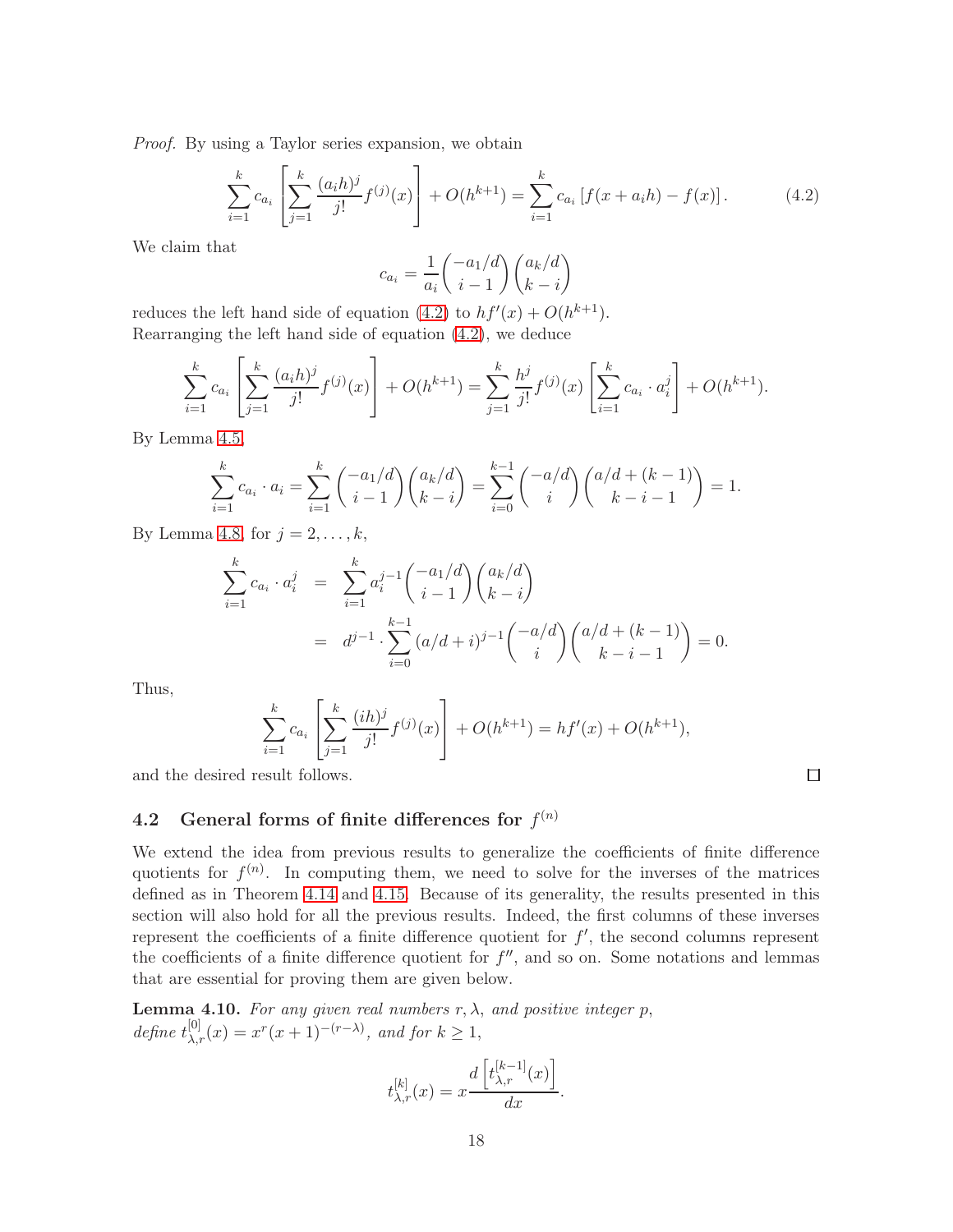Proof. By using a Taylor series expansion, we obtain

<span id="page-17-0"></span>
$$
\sum_{i=1}^{k} c_{a_i} \left[ \sum_{j=1}^{k} \frac{(a_i h)^j}{j!} f^{(j)}(x) \right] + O(h^{k+1}) = \sum_{i=1}^{k} c_{a_i} \left[ f(x + a_i h) - f(x) \right]. \tag{4.2}
$$

We claim that

$$
c_{a_i} = \frac{1}{a_i} \binom{-a_1/d}{i-1} \binom{a_k/d}{k-i}
$$

reduces the left hand side of equation [\(4.2\)](#page-17-0) to  $hf'(x) + O(h^{k+1})$ . Rearranging the left hand side of equation [\(4.2\)](#page-17-0), we deduce

$$
\sum_{i=1}^{k} c_{a_i} \left[ \sum_{j=1}^{k} \frac{(a_i h)^j}{j!} f^{(j)}(x) \right] + O(h^{k+1}) = \sum_{j=1}^{k} \frac{h^j}{j!} f^{(j)}(x) \left[ \sum_{i=1}^{k} c_{a_i} \cdot a_i^j \right] + O(h^{k+1}).
$$

By Lemma [4.5,](#page-14-1)

$$
\sum_{i=1}^{k} c_{a_i} \cdot a_i = \sum_{i=1}^{k} {\binom{-a_1/d}{i-1}} {\binom{a_k/d}{k-i}} = \sum_{i=0}^{k-1} {\binom{-a/d}{i}} {\binom{a/d + (k-1)}{k-i-1}} = 1.
$$

By Lemma [4.8,](#page-16-1) for  $j = 2, \ldots, k$ ,

$$
\sum_{i=1}^{k} c_{a_i} \cdot a_i^j = \sum_{i=1}^{k} a_i^{j-1} {\binom{-a_1/d}{i-1}} {\binom{a_k/d}{k-i}} \n= d^{j-1} \cdot \sum_{i=0}^{k-1} (a/d+i)^{j-1} {\binom{-a/d}{i}} {\binom{a/d + (k-1)}{k-i-1}} = 0.
$$

Thus,

$$
\sum_{i=1}^{k} c_{a_i} \left[ \sum_{j=1}^{k} \frac{(ih)^j}{j!} f^{(j)}(x) \right] + O(h^{k+1}) = h f'(x) + O(h^{k+1}),
$$

 $\Box$ 

and the desired result follows.

## 4.2 General forms of finite differences for  $f^{(n)}$

We extend the idea from previous results to generalize the coefficients of finite difference quotients for  $f^{(n)}$ . In computing them, we need to solve for the inverses of the matrices defined as in Theorem [4.14](#page-20-0) and [4.15.](#page-21-0) Because of its generality, the results presented in this section will also hold for all the previous results. Indeed, the first columns of these inverses represent the coefficients of a finite difference quotient for  $f'$ , the second columns represent the coefficients of a finite difference quotient for  $f''$ , and so on. Some notations and lemmas that are essential for proving them are given below.

**Lemma 4.10.** For any given real numbers  $r, \lambda$ , and positive integer p, define  $t_{\lambda,r}^{[0]}(x) = x^r(x+1)^{-(r-\lambda)}$ , and for  $k \geq 1$ ,

$$
t_{\lambda,r}^{[k]}(x) = x \frac{d\left[t_{\lambda,r}^{[k-1]}(x)\right]}{dx}.
$$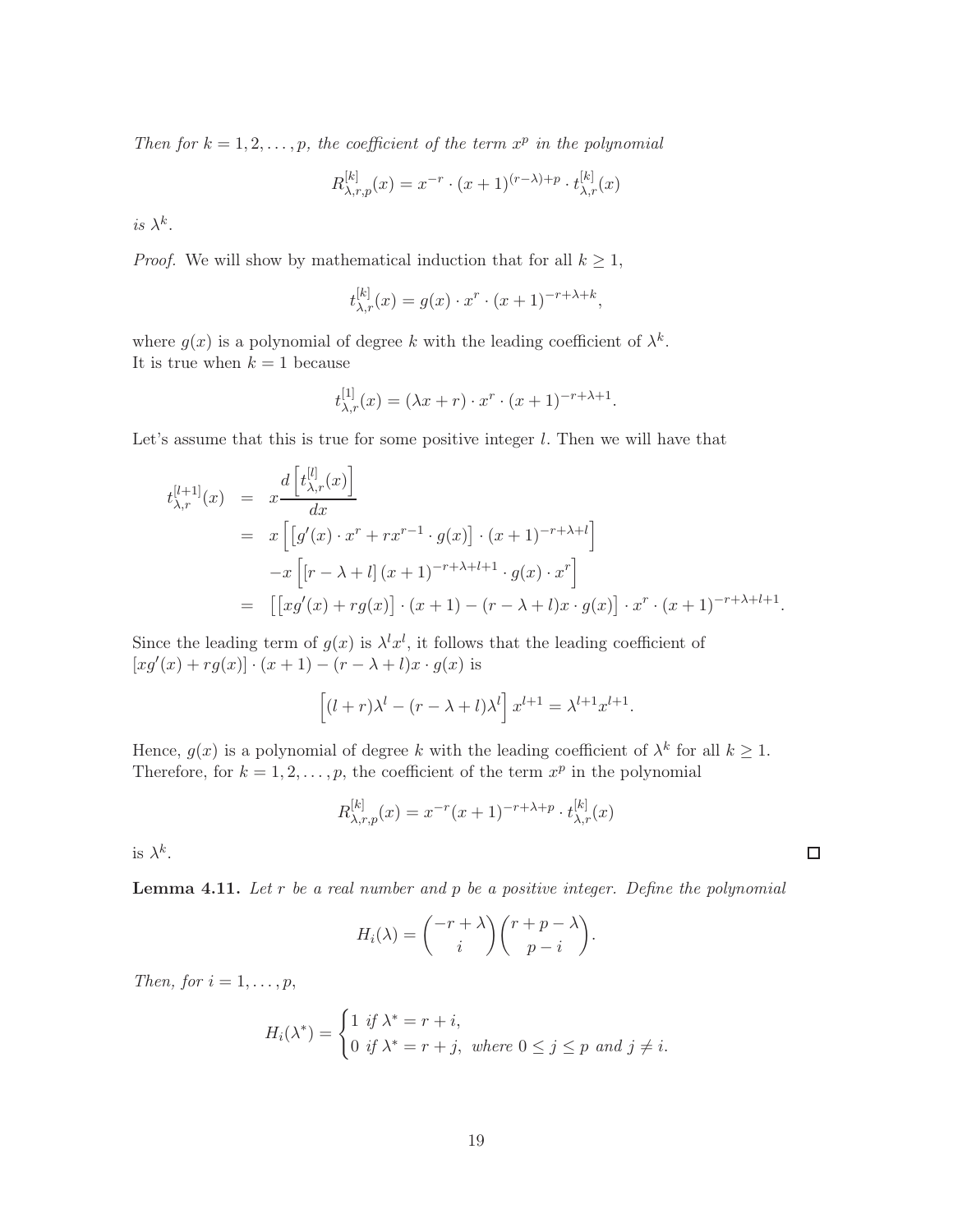Then for  $k = 1, 2, ..., p$ , the coefficient of the term  $x^p$  in the polynomial

$$
R_{\lambda,r,p}^{[k]}(x) = x^{-r} \cdot (x+1)^{(r-\lambda)+p} \cdot t_{\lambda,r}^{[k]}(x)
$$

is  $\lambda^k$ .

*Proof.* We will show by mathematical induction that for all  $k \geq 1$ ,

$$
t_{\lambda,r}^{[k]}(x) = g(x) \cdot x^r \cdot (x+1)^{-r+\lambda+k},
$$

where  $g(x)$  is a polynomial of degree k with the leading coefficient of  $\lambda^k$ . It is true when  $k = 1$  because

$$
t_{\lambda,r}^{[1]}(x) = (\lambda x + r) \cdot x^r \cdot (x+1)^{-r + \lambda + 1}.
$$

Let's assume that this is true for some positive integer  $l$ . Then we will have that

$$
t_{\lambda,r}^{[l+1]}(x) = x \frac{d \left[t_{\lambda,r}^{[l]}(x)\right]}{dx}
$$
  
=  $x \left[\left[g'(x) \cdot x^r + rx^{r-1} \cdot g(x)\right] \cdot (x+1)^{-r+\lambda+l}\right]$   

$$
-x \left[\left[r-\lambda+l\right](x+1)^{-r+\lambda+l+1} \cdot g(x) \cdot x^r\right]
$$
  
=  $\left[\left[xf'(x)+rg(x)\right] \cdot (x+1) - (r-\lambda+l)x \cdot g(x)\right] \cdot x^r \cdot (x+1)^{-r+\lambda+l+1}.$ 

Since the leading term of  $g(x)$  is  $\lambda^l x^l$ , it follows that the leading coefficient of  $[xg'(x) + rg(x)] \cdot (x+1) - (r - \lambda + l)x \cdot g(x)$  is

$$
\[ (l+r)\lambda^{l} - (r-\lambda+l)\lambda^{l} \] x^{l+1} = \lambda^{l+1} x^{l+1}.
$$

Hence,  $g(x)$  is a polynomial of degree k with the leading coefficient of  $\lambda^k$  for all  $k \geq 1$ . Therefore, for  $k = 1, 2, ..., p$ , the coefficient of the term  $x^p$  in the polynomial

$$
R_{\lambda,r,p}^{[k]}(x) = x^{-r}(x+1)^{-r+\lambda+p} \cdot t_{\lambda,r}^{[k]}(x)
$$

is  $\lambda^k$ .

<span id="page-18-0"></span>**Lemma 4.11.** Let  $r$  be a real number and  $p$  be a positive integer. Define the polynomial

$$
H_i(\lambda) = \binom{-r + \lambda}{i} \binom{r + p - \lambda}{p - i}.
$$

Then, for  $i = 1, \ldots, p$ ,

$$
H_i(\lambda^*) = \begin{cases} 1 & \text{if } \lambda^* = r + i, \\ 0 & \text{if } \lambda^* = r + j, \text{ where } 0 \le j \le p \text{ and } j \ne i. \end{cases}
$$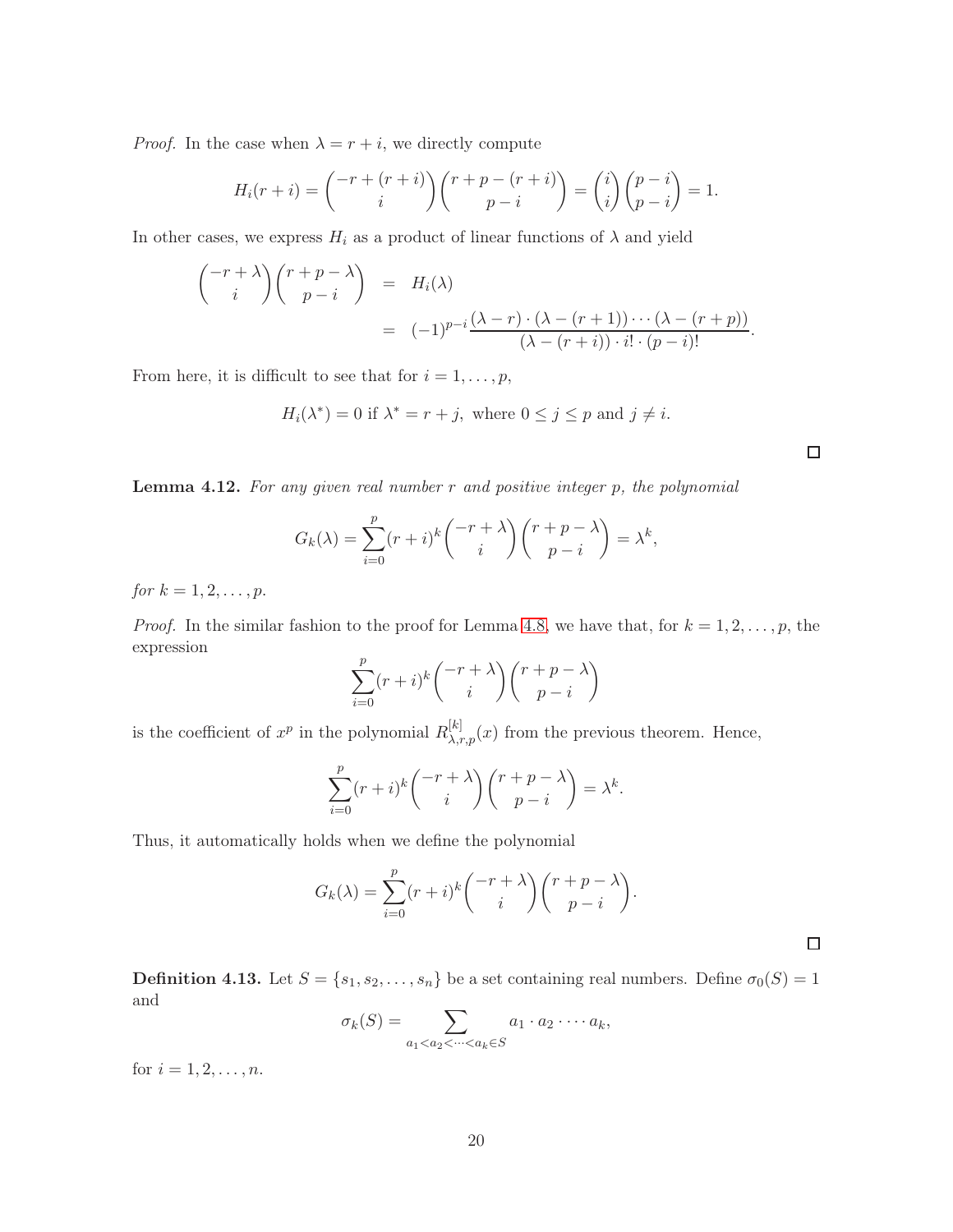*Proof.* In the case when  $\lambda = r + i$ , we directly compute

$$
H_i(r+i) = \binom{-r + (r+i)}{i} \binom{r + p - (r+i)}{p-i} = \binom{i}{i} \binom{p-i}{p-i} = 1.
$$

In other cases, we express  $H_i$  as a product of linear functions of  $\lambda$  and yield

$$
\begin{pmatrix} -r + \lambda \\ i \end{pmatrix} \begin{pmatrix} r + p - \lambda \\ p - i \end{pmatrix} = H_i(\lambda)
$$
  
= 
$$
(-1)^{p-i} \frac{(\lambda - r) \cdot (\lambda - (r + 1)) \cdot \cdot \cdot (\lambda - (r + p))}{(\lambda - (r + i)) \cdot i! \cdot (p - i)!}.
$$

From here, it is difficult to see that for  $i = 1, \ldots, p$ ,

$$
H_i(\lambda^*) = 0 \text{ if } \lambda^* = r + j, \text{ where } 0 \le j \le p \text{ and } j \ne i.
$$

<span id="page-19-0"></span>**Lemma 4.12.** For any given real number  $r$  and positive integer  $p$ , the polynomial

$$
G_k(\lambda) = \sum_{i=0}^p (r+i)^k \binom{-r+\lambda}{i} \binom{r+p-\lambda}{p-i} = \lambda^k,
$$

for  $k = 1, 2, ..., p$ .

*Proof.* In the similar fashion to the proof for Lemma [4.8,](#page-16-1) we have that, for  $k = 1, 2, \ldots, p$ , the expression

$$
\sum_{i=0}^{p} (r+i)^k \binom{-r+\lambda}{i} \binom{r+p-\lambda}{p-i}
$$

is the coefficient of  $x^p$  in the polynomial  $R_{\lambda,r,p}^{[k]}(x)$  from the previous theorem. Hence,

$$
\sum_{i=0}^{p} (r+i)^k \binom{-r+\lambda}{i} \binom{r+p-\lambda}{p-i} = \lambda^k.
$$

Thus, it automatically holds when we define the polynomial

$$
G_k(\lambda) = \sum_{i=0}^p (r+i)^k \binom{-r+\lambda}{i} \binom{r+p-\lambda}{p-i}.
$$

**Definition 4.13.** Let  $S = \{s_1, s_2, \ldots, s_n\}$  be a set containing real numbers. Define  $\sigma_0(S) = 1$ and

$$
\sigma_k(S) = \sum_{a_1 < a_2 < \cdots < a_k \in S} a_1 \cdot a_2 \cdot \cdots \cdot a_k,
$$

for  $i = 1, 2, ..., n$ .

 $\Box$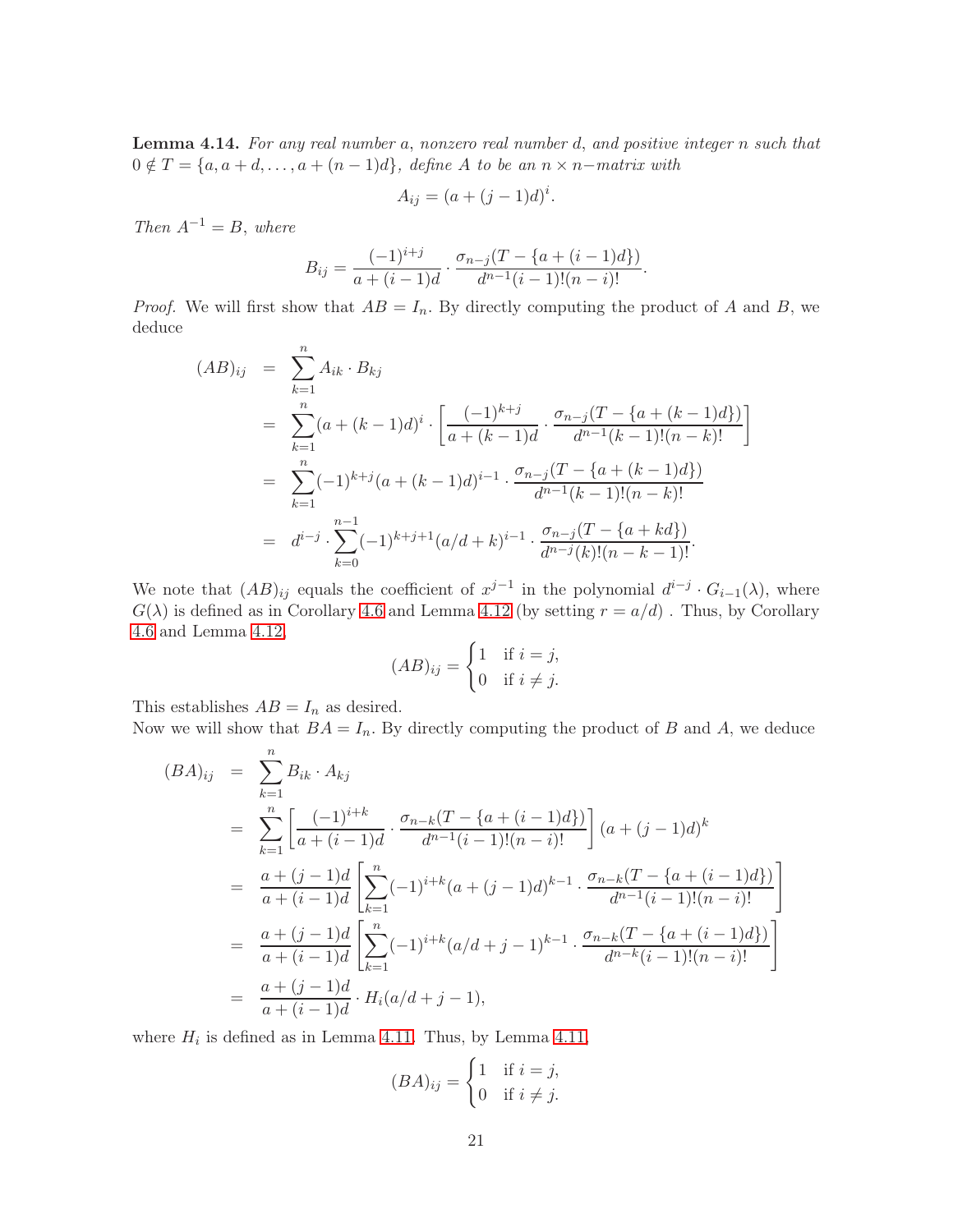<span id="page-20-0"></span>Lemma 4.14. For any real number a, nonzero real number d, and positive integer n such that  $0 \notin T = \{a, a+d, \ldots, a+(n-1)d\},$  define A to be an  $n \times n$ -matrix with

$$
A_{ij} = (a + (j-1)d)^i.
$$

Then  $A^{-1} = B$ , where

$$
B_{ij} = \frac{(-1)^{i+j}}{a+(i-1)d} \cdot \frac{\sigma_{n-j}(T - \{a+(i-1)d\})}{d^{n-1}(i-1)!(n-i)!}.
$$

*Proof.* We will first show that  $AB = I_n$ . By directly computing the product of A and B, we deduce

$$
(AB)_{ij} = \sum_{k=1}^{n} A_{ik} \cdot B_{kj}
$$
  
= 
$$
\sum_{k=1}^{n} (a + (k-1)d)^{i} \cdot \left[ \frac{(-1)^{k+j}}{a + (k-1)d} \cdot \frac{\sigma_{n-j}(T - \{a + (k-1)d\})}{d^{n-1}(k-1)!(n-k)!} \right]
$$
  
= 
$$
\sum_{k=1}^{n} (-1)^{k+j} (a + (k-1)d)^{i-1} \cdot \frac{\sigma_{n-j}(T - \{a + (k-1)d\})}{d^{n-1}(k-1)!(n-k)!}
$$
  
= 
$$
d^{i-j} \cdot \sum_{k=0}^{n-1} (-1)^{k+j+1} (a/d + k)^{i-1} \cdot \frac{\sigma_{n-j}(T - \{a + kd\})}{d^{n-j}(k)!(n-k-1)!}.
$$

We note that  $(AB)_{ij}$  equals the coefficient of  $x^{j-1}$  in the polynomial  $d^{i-j} \cdot G_{i-1}(\lambda)$ , where  $G(\lambda)$  is defined as in Corollary [4.6](#page-15-1) and Lemma [4.12](#page-19-0) (by setting  $r = a/d$ ). Thus, by Corollary [4.6](#page-15-1) and Lemma [4.12,](#page-19-0)

$$
(AB)_{ij} = \begin{cases} 1 & \text{if } i = j, \\ 0 & \text{if } i \neq j. \end{cases}
$$

This establishes  $AB = I_n$  as desired.

Now we will show that  $BA = I_n$ . By directly computing the product of B and A, we deduce

$$
(BA)_{ij} = \sum_{k=1}^{n} B_{ik} \cdot A_{kj}
$$
  
= 
$$
\sum_{k=1}^{n} \left[ \frac{(-1)^{i+k}}{a + (i-1)d} \cdot \frac{\sigma_{n-k}(T - \{a + (i-1)d\})}{d^{n-1}(i-1)!(n-i)!} \right] (a + (j-1)d)^k
$$
  
= 
$$
\frac{a + (j-1)d}{a + (i-1)d} \left[ \sum_{k=1}^{n} (-1)^{i+k}(a + (j-1)d)^{k-1} \cdot \frac{\sigma_{n-k}(T - \{a + (i-1)d\})}{d^{n-1}(i-1)!(n-i)!} \right]
$$
  
= 
$$
\frac{a + (j-1)d}{a + (i-1)d} \left[ \sum_{k=1}^{n} (-1)^{i+k}(a/d + j - 1)^{k-1} \cdot \frac{\sigma_{n-k}(T - \{a + (i-1)d\})}{d^{n-k}(i-1)!(n-i)!} \right]
$$
  
= 
$$
\frac{a + (j-1)d}{a + (i-1)d} \cdot H_i(a/d + j - 1),
$$

where  $H_i$  is defined as in Lemma [4.11.](#page-18-0) Thus, by Lemma [4.11,](#page-18-0)

$$
(BA)_{ij} = \begin{cases} 1 & \text{if } i = j, \\ 0 & \text{if } i \neq j. \end{cases}
$$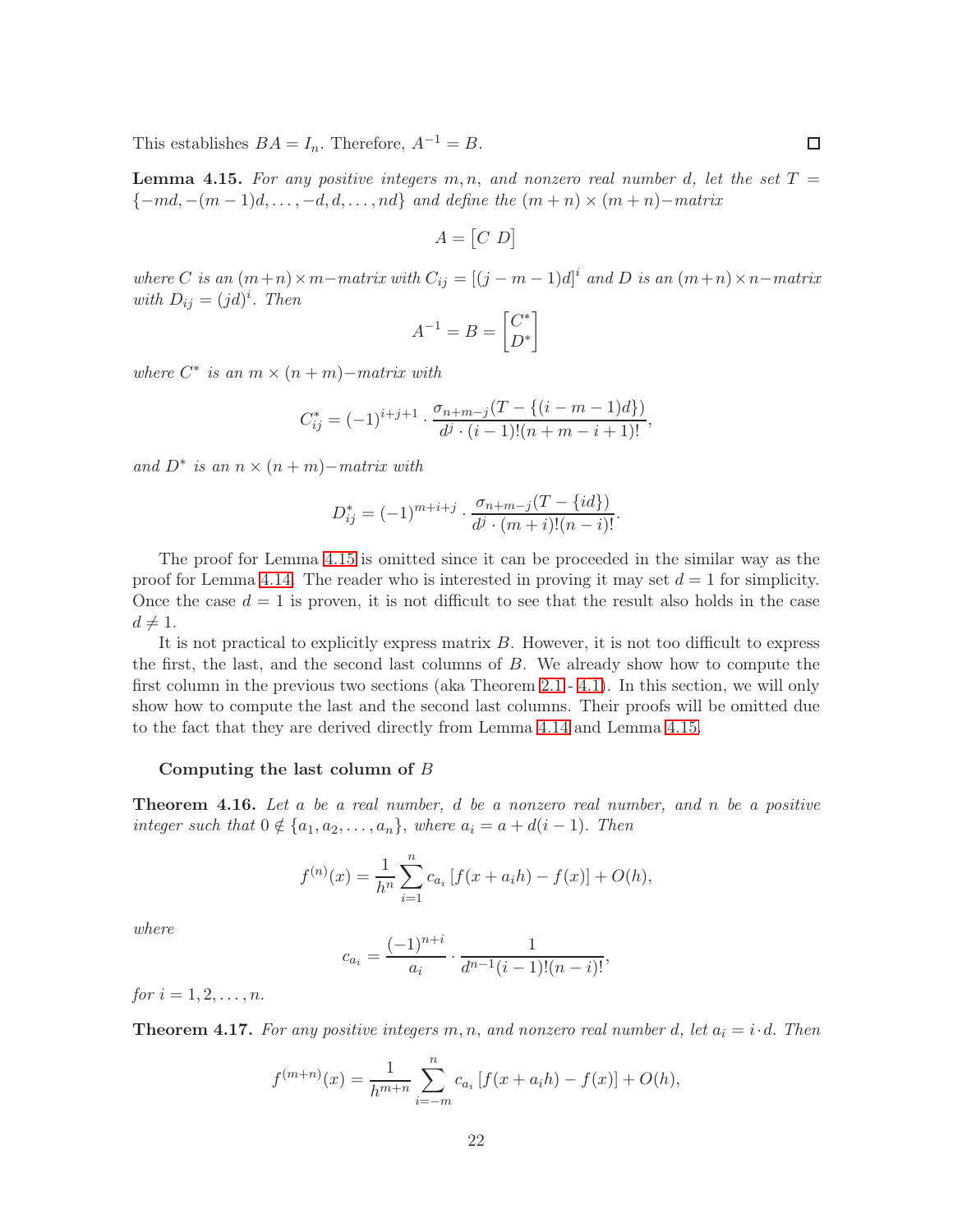This establishes  $BA = I_n$ . Therefore,  $A^{-1} = B$ .

<span id="page-21-0"></span>**Lemma 4.15.** For any positive integers  $m, n$ , and nonzero real number d, let the set  $T =$  ${-md, -(m-1)d, \ldots, -d, d, \ldots, nd}$  and define the  $(m+n) \times (m+n)$ -matrix

$$
A = [C \ D]
$$

where C is an  $(m+n) \times m$ -matrix with  $C_{ij} = [(j-m-1)d]^i$  and D is an  $(m+n) \times n$ -matrix with  $D_{ij} = (jd)^i$ . Then

$$
A^{-1} = B = \begin{bmatrix} C^* \\ D^* \end{bmatrix}
$$

where  $C^*$  is an  $m \times (n + m)$  – matrix with

$$
C_{ij}^* = (-1)^{i+j+1} \cdot \frac{\sigma_{n+m-j}(T - \{(i-m-1)d\})}{d^j \cdot (i-1)!(n+m-i+1)!},
$$

and  $D^*$  is an  $n \times (n + m)$ −matrix with

$$
D_{ij}^* = (-1)^{m+i+j} \cdot \frac{\sigma_{n+m-j}(T - \{id\})}{d^j \cdot (m+i)!(n-i)!}.
$$

The proof for Lemma [4.15](#page-21-0) is omitted since it can be proceeded in the similar way as the proof for Lemma [4.14.](#page-20-0) The reader who is interested in proving it may set  $d = 1$  for simplicity. Once the case  $d = 1$  is proven, it is not difficult to see that the result also holds in the case  $d \neq 1$ .

It is not practical to explicitly express matrix B. However, it is not too difficult to express the first, the last, and the second last columns of B. We already show how to compute the first column in the previous two sections (aka Theorem [2.1](#page-2-1) - [4.1\)](#page-16-0). In this section, we will only show how to compute the last and the second last columns. Their proofs will be omitted due to the fact that they are derived directly from Lemma [4.14](#page-20-0) and Lemma [4.15.](#page-21-0)

#### Computing the last column of B

**Theorem 4.16.** Let a be a real number, d be a nonzero real number, and n be a positive integer such that  $0 \notin \{a_1, a_2, \ldots, a_n\}$ , where  $a_i = a + d(i - 1)$ . Then

$$
f^{(n)}(x) = \frac{1}{h^n} \sum_{i=1}^n c_{a_i} [f(x + a_i h) - f(x)] + O(h),
$$

where

$$
c_{a_i} = \frac{(-1)^{n+i}}{a_i} \cdot \frac{1}{d^{n-1}(i-1)!(n-i)!},
$$

for  $i = 1, 2, ..., n$ .

**Theorem 4.17.** For any positive integers m, n, and nonzero real number d, let  $a_i = i \cdot d$ . Then

$$
f^{(m+n)}(x) = \frac{1}{h^{m+n}} \sum_{i=-m}^{n} c_{a_i} [f(x + a_i h) - f(x)] + O(h),
$$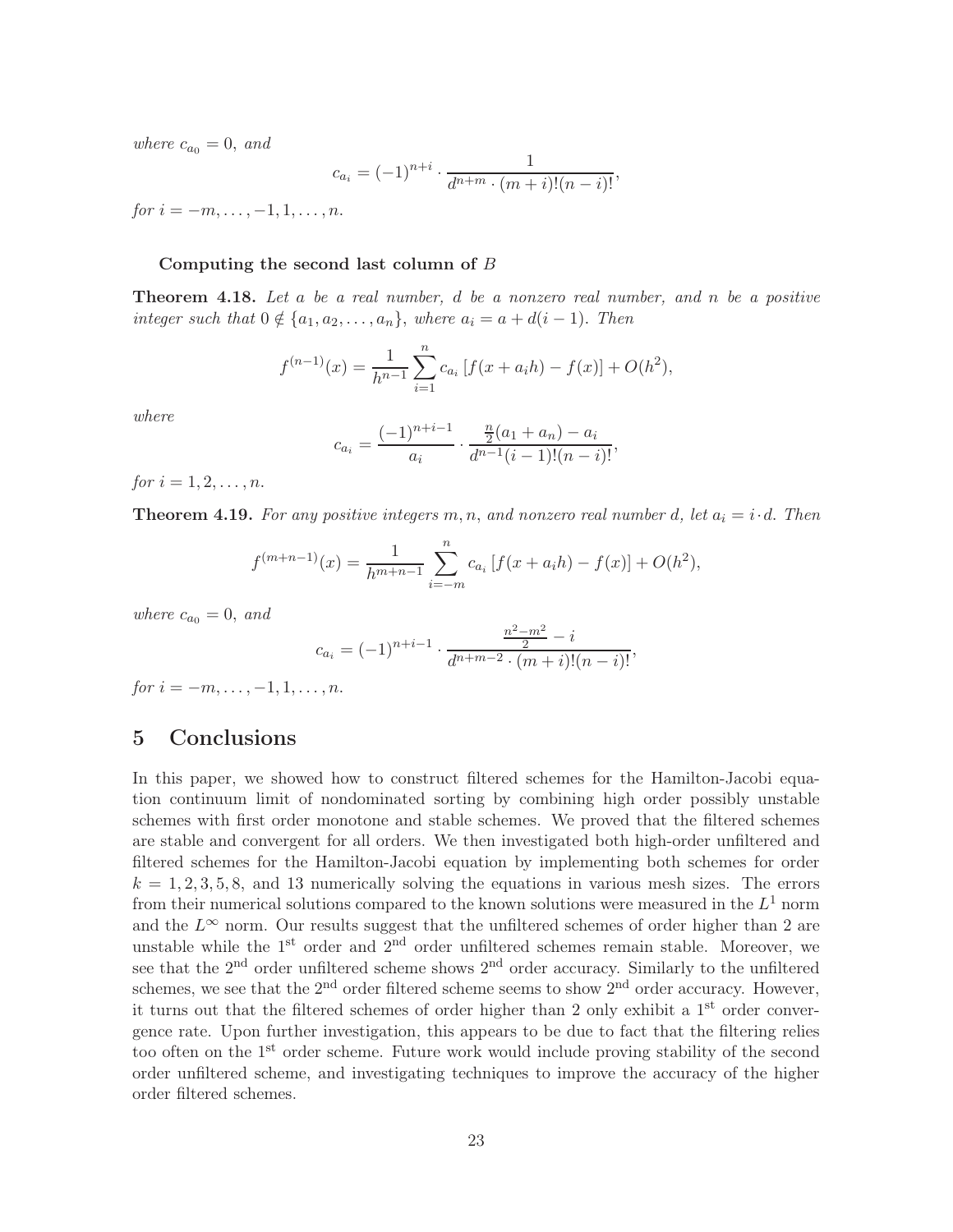where  $c_{a_0} = 0$ , and

$$
c_{a_i} = (-1)^{n+i} \cdot \frac{1}{d^{n+m} \cdot (m+i)!(n-i)!},
$$

 $for i = -m, \ldots, -1, 1, \ldots, n.$ 

#### Computing the second last column of  $B$

**Theorem 4.18.** Let a be a real number, d be a nonzero real number, and n be a positive integer such that  $0 \notin \{a_1, a_2, \ldots, a_n\}$ , where  $a_i = a + d(i - 1)$ . Then

$$
f^{(n-1)}(x) = \frac{1}{h^{n-1}} \sum_{i=1}^{n} c_{a_i} \left[ f(x + a_i h) - f(x) \right] + O(h^2),
$$

where

$$
c_{a_i} = \frac{(-1)^{n+i-1}}{a_i} \cdot \frac{\frac{n}{2}(a_1 + a_n) - a_i}{d^{n-1}(i-1)!(n-i)!},
$$

for  $i = 1, 2, ..., n$ .

**Theorem 4.19.** For any positive integers m, n, and nonzero real number d, let  $a_i = i \cdot d$ . Then

$$
f^{(m+n-1)}(x) = \frac{1}{h^{m+n-1}} \sum_{i=-m}^{n} c_{a_i} [f(x + a_i h) - f(x)] + O(h^2),
$$

where  $c_{a_0} = 0$ , and

$$
c_{a_i} = (-1)^{n+i-1} \cdot \frac{\frac{n^2 - m^2}{2} - i}{d^{n+m-2} \cdot (m+i)!(n-i)!},
$$

for  $i = -m, \ldots, -1, 1, \ldots, n$ .

# 5 Conclusions

In this paper, we showed how to construct filtered schemes for the Hamilton-Jacobi equation continuum limit of nondominated sorting by combining high order possibly unstable schemes with first order monotone and stable schemes. We proved that the filtered schemes are stable and convergent for all orders. We then investigated both high-order unfiltered and filtered schemes for the Hamilton-Jacobi equation by implementing both schemes for order  $k = 1, 2, 3, 5, 8$ , and 13 numerically solving the equations in various mesh sizes. The errors from their numerical solutions compared to the known solutions were measured in the  $L^1$  norm and the  $L^{\infty}$  norm. Our results suggest that the unfiltered schemes of order higher than 2 are unstable while the 1<sup>st</sup> order and 2<sup>nd</sup> order unfiltered schemes remain stable. Moreover, we see that the 2<sup>nd</sup> order unfiltered scheme shows 2<sup>nd</sup> order accuracy. Similarly to the unfiltered schemes, we see that the  $2<sup>nd</sup>$  order filtered scheme seems to show  $2<sup>nd</sup>$  order accuracy. However, it turns out that the filtered schemes of order higher than 2 only exhibit a 1<sup>st</sup> order convergence rate. Upon further investigation, this appears to be due to fact that the filtering relies too often on the 1<sup>st</sup> order scheme. Future work would include proving stability of the second order unfiltered scheme, and investigating techniques to improve the accuracy of the higher order filtered schemes.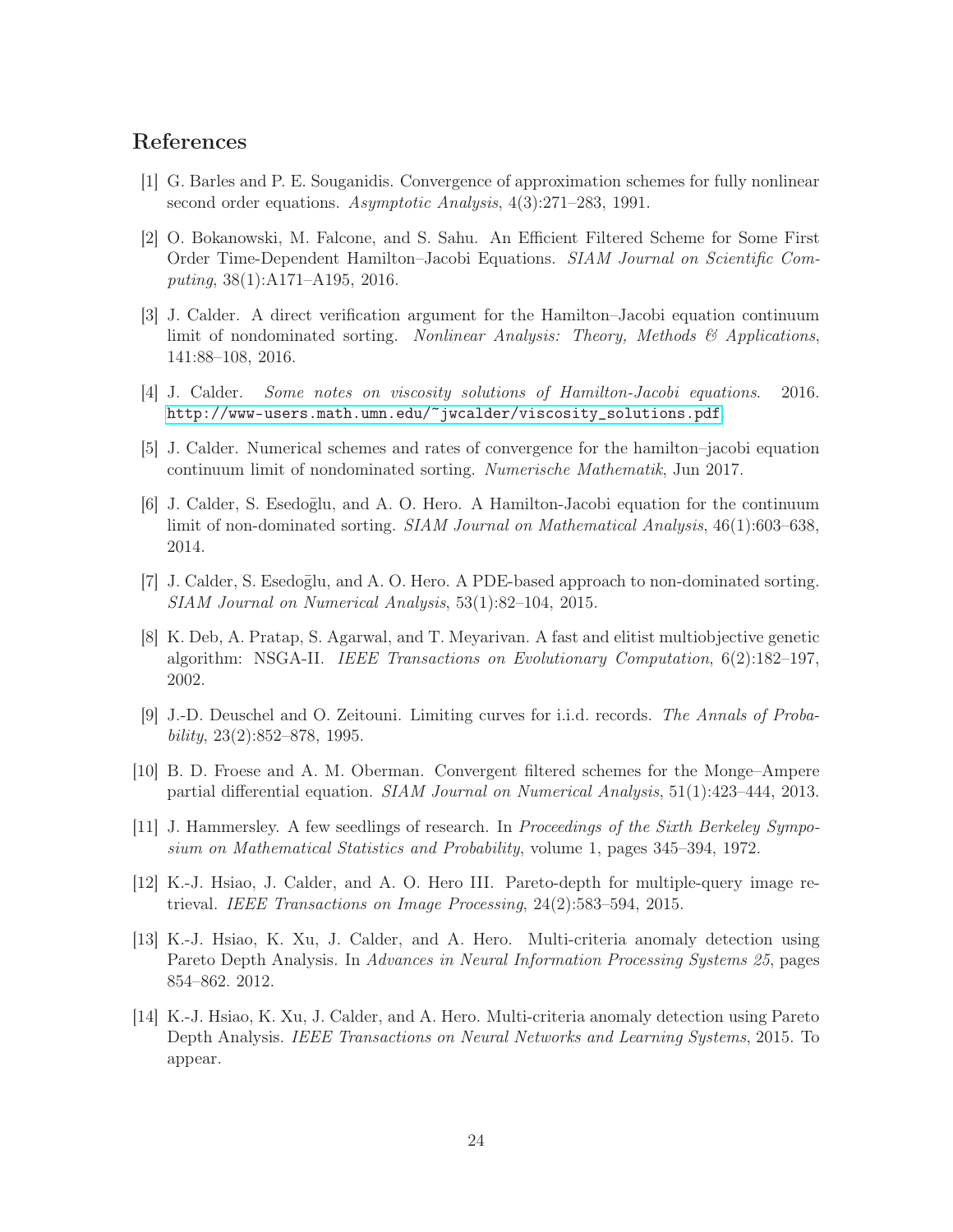### <span id="page-23-5"></span>References

- <span id="page-23-7"></span>[1] G. Barles and P. E. Souganidis. Convergence of approximation schemes for fully nonlinear second order equations. Asymptotic Analysis, 4(3):271–283, 1991.
- [2] O. Bokanowski, M. Falcone, and S. Sahu. An Efficient Filtered Scheme for Some First Order Time-Dependent Hamilton–Jacobi Equations. SIAM Journal on Scientific Computing, 38(1):A171–A195, 2016.
- <span id="page-23-0"></span>[3] J. Calder. A direct verification argument for the Hamilton–Jacobi equation continuum limit of nondominated sorting. Nonlinear Analysis: Theory, Methods  $\mathcal{B}$  Applications, 141:88–108, 2016.
- <span id="page-23-6"></span><span id="page-23-1"></span>[4] J. Calder. Some notes on viscosity solutions of Hamilton-Jacobi equations. 2016. [http://www-users.math.umn.edu/~jwcalder/viscosity\\_solutions.pdf](http://www-users.math.umn.edu/~jwcalder/viscosity_solutions.pdf).
- [5] J. Calder. Numerical schemes and rates of convergence for the hamilton–jacobi equation continuum limit of nondominated sorting. Numerische Mathematik, Jun 2017.
- [6] J. Calder, S. Esedoglu, and A. O. Hero. A Hamilton-Jacobi equation for the continuum limit of non-dominated sorting. SIAM Journal on Mathematical Analysis, 46(1):603–638, 2014.
- <span id="page-23-9"></span>[7] J. Calder, S. Esedoglu, and A. O. Hero. A PDE-based approach to non-dominated sorting. SIAM Journal on Numerical Analysis, 53(1):82–104, 2015.
- [8] K. Deb, A. Pratap, S. Agarwal, and T. Meyarivan. A fast and elitist multiobjective genetic algorithm: NSGA-II. IEEE Transactions on Evolutionary Computation, 6(2):182–197, 2002.
- <span id="page-23-2"></span>[9] J.-D. Deuschel and O. Zeitouni. Limiting curves for i.i.d. records. The Annals of Probability, 23(2):852–878, 1995.
- <span id="page-23-8"></span>[10] B. D. Froese and A. M. Oberman. Convergent filtered schemes for the Monge–Ampere partial differential equation. SIAM Journal on Numerical Analysis, 51(1):423–444, 2013.
- <span id="page-23-3"></span>[11] J. Hammersley. A few seedlings of research. In Proceedings of the Sixth Berkeley Symposium on Mathematical Statistics and Probability, volume 1, pages 345–394, 1972.
- [12] K.-J. Hsiao, J. Calder, and A. O. Hero III. Pareto-depth for multiple-query image retrieval. IEEE Transactions on Image Processing, 24(2):583–594, 2015.
- [13] K.-J. Hsiao, K. Xu, J. Calder, and A. Hero. Multi-criteria anomaly detection using Pareto Depth Analysis. In Advances in Neural Information Processing Systems 25, pages 854–862. 2012.
- <span id="page-23-4"></span>[14] K.-J. Hsiao, K. Xu, J. Calder, and A. Hero. Multi-criteria anomaly detection using Pareto Depth Analysis. IEEE Transactions on Neural Networks and Learning Systems, 2015. To appear.